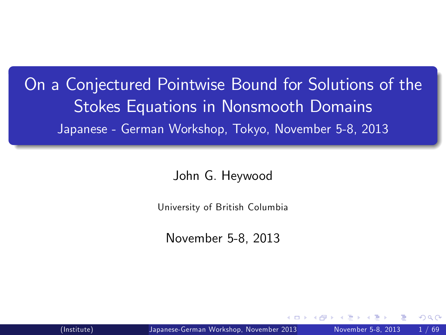On a Conjectured Pointwise Bound for Solutions of the Stokes Equations in Nonsmooth Domains Japanese - German Workshop, Tokyo, November 5-8, 2013

John G. Heywood

University of British Columbia

<span id="page-0-0"></span>November 5-8, 2013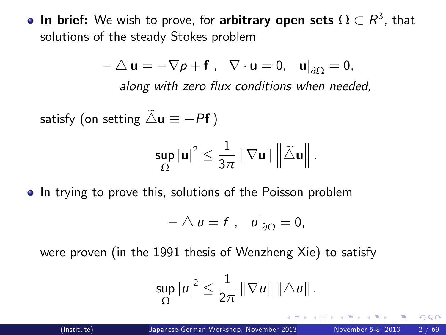**In brief:** We wish to prove, for **arbitrary open sets**  $\Omega \subset R^3$ , that solutions of the steady Stokes problem

$$
-\triangle \mathbf{u} = -\nabla p + \mathbf{f}, \quad \nabla \cdot \mathbf{u} = 0, \quad \mathbf{u}|_{\partial \Omega} = 0,
$$
  
along with zero flux conditions when needed,

satisfy (on setting  $\tilde{\triangle} u \equiv -Pf$ )

$$
\sup_{\Omega}\left|u\right|^{2}\leq\frac{1}{3\pi}\left\Vert \nabla u\right\Vert \left\Vert \widetilde{\triangle}u\right\Vert .
$$

• In trying to prove this, solutions of the Poisson problem

$$
-\bigtriangleup u=f\ ,\quad u\big|_{\partial\Omega}=0,
$$

were proven (in the 1991 thesis of Wenzheng Xie) to satisfy

$$
\sup_{\Omega}|u|^{2}\leq\frac{1}{2\pi}\left\Vert \nabla u\right\Vert \left\Vert \triangle u\right\Vert .
$$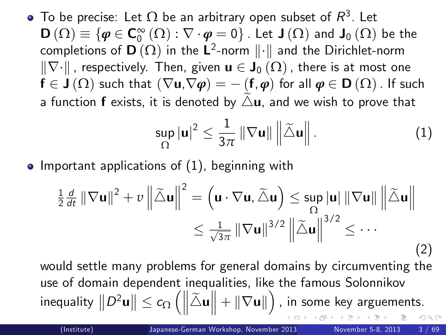To be precise: Let  $\Omega$  be an arbitrary open subset of  $\mathcal{R}^3$ . Let  $\mathsf{D}\left(\Omega\right)\equiv\{\pmb{\varphi}\in\mathsf{C}_{0}^{\infty}\left(\Omega\right):\nabla\cdot\pmb{\varphi}=0\}$  . Let  $\mathsf{J}\left(\Omega\right)$  and  $\mathsf{J}_{0}\left(\Omega\right)$  be the completions of **D**  $(\Omega)$  in the **L**<sup>2</sup>-norm  $\|\cdot\|$  and the Dirichlet-norm  $\|\nabla\cdot\|$ , respectively. Then, given  $\mathbf{u} \in \mathbf{J}_0(\Omega)$ , there is at most one  $f \in J(\Omega)$  such that  $(\nabla u,\nabla \varphi) = - (f,\varphi)$  for all  $\varphi \in D(\Omega)$ . If such a function **f** exists, it is denoted by  $\triangle$ **u**, and we wish to prove that

<span id="page-2-1"></span><span id="page-2-0"></span>
$$
\sup_{\Omega} |\mathbf{u}|^2 \leq \frac{1}{3\pi} \left\| \nabla \mathbf{u} \right\| \left\| \widetilde{\triangle} \mathbf{u} \right\|.
$$
 (1)

• Important applications of  $(1)$ , beginning with

$$
\frac{1}{2} \frac{d}{dt} \|\nabla \mathbf{u}\|^2 + v \left\|\tilde{\triangle} \mathbf{u}\right\|^2 = \left(\mathbf{u} \cdot \nabla \mathbf{u}, \tilde{\triangle} \mathbf{u}\right) \le \sup_{\Omega} |\mathbf{u}| \|\nabla \mathbf{u}\| \left\|\tilde{\triangle} \mathbf{u}\right\|
$$

$$
\le \frac{1}{\sqrt{3\pi}} \|\nabla \mathbf{u}\|^{3/2} \left\|\tilde{\triangle} \mathbf{u}\right\|^{3/2} \le \cdots
$$
(2)

would settle many problems for general domains by circumventing the use of domain dependent inequalities, like the famous Solonnikov inequality  $\left\|D^2\mathbf{u}\right\|\leq c_{\Omega}\left(\left\|\widetilde{\triangle} \mathbf{u}\right\|+\|\nabla \mathbf{u}\|\right)$  , in some key arguements.  $\Omega$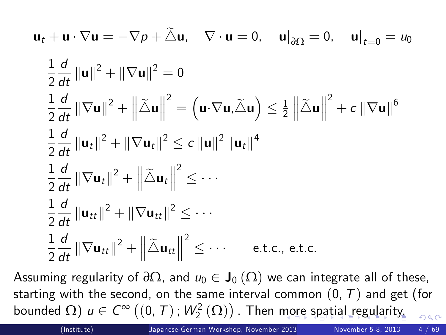$$
\mathbf{u}_t + \mathbf{u} \cdot \nabla \mathbf{u} = -\nabla p + \tilde{\triangle} \mathbf{u}, \quad \nabla \cdot \mathbf{u} = 0, \quad \mathbf{u}|_{\partial \Omega} = 0, \quad \mathbf{u}|_{t=0} = u_0
$$

$$
\frac{1}{2} \frac{d}{dt} ||\mathbf{u}||^2 + ||\nabla \mathbf{u}||^2 = 0
$$
\n
$$
\frac{1}{2} \frac{d}{dt} ||\nabla \mathbf{u}||^2 + ||\tilde{\Delta} \mathbf{u}||^2 = (\mathbf{u} \cdot \nabla \mathbf{u}, \tilde{\Delta} \mathbf{u}) \le \frac{1}{2} ||\tilde{\Delta} \mathbf{u}||^2 + c ||\nabla \mathbf{u}||^6
$$
\n
$$
\frac{1}{2} \frac{d}{dt} ||\mathbf{u}_t||^2 + ||\nabla \mathbf{u}_t||^2 \le c ||\mathbf{u}||^2 ||\mathbf{u}_t||^4
$$
\n
$$
\frac{1}{2} \frac{d}{dt} ||\nabla \mathbf{u}_t||^2 + ||\tilde{\Delta} \mathbf{u}_t||^2 \le \cdots
$$
\n
$$
\frac{1}{2} \frac{d}{dt} ||\mathbf{u}_{tt}||^2 + ||\nabla \mathbf{u}_{tt}||^2 \le \cdots
$$
\n
$$
\frac{1}{2} \frac{d}{dt} ||\nabla \mathbf{u}_{tt}||^2 + ||\tilde{\Delta} \mathbf{u}_{tt}||^2 \le \cdots \qquad \text{e.t.c., etc.}
$$

<span id="page-3-0"></span>Assuming regularity of  $\partial\Omega$ , and  $u_0 \in J_0(\Omega)$  we can integrate all of these, starting with the second, on the same interval common  $(0, T)$  and get (for bound[e](#page-4-0)d  $\Omega)$  $\Omega)$  $\Omega)$   $u\in \mathcal{C}^\infty\left((0,\,T)\,;\, \mathcal{W}^2_2\left(\Omega\right)\right)$  $u\in \mathcal{C}^\infty\left((0,\,T)\,;\, \mathcal{W}^2_2\left(\Omega\right)\right)$  $u\in \mathcal{C}^\infty\left((0,\,T)\,;\, \mathcal{W}^2_2\left(\Omega\right)\right)$  $u\in \mathcal{C}^\infty\left((0,\,T)\,;\, \mathcal{W}^2_2\left(\Omega\right)\right)$  $u\in \mathcal{C}^\infty\left((0,\,T)\,;\, \mathcal{W}^2_2\left(\Omega\right)\right)$  . Then [mo](#page-2-1)re [s](#page-2-1)[pa](#page-3-0)[ti](#page-4-0)a[l r](#page-3-0)eg[ul](#page-3-0)ar[ity](#page-0-0)[.](#page-68-0)  $QQ$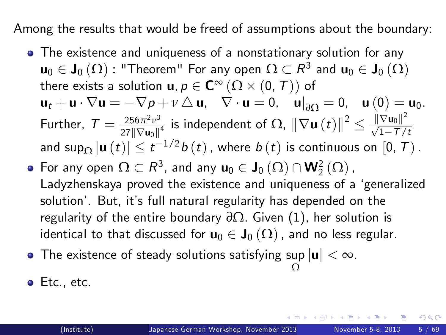Among the results that would be freed of assumptions about the boundary:

- The existence and uniqueness of a nonstationary solution for any  $\mathsf{u}_0\in\mathsf{J}_0\left(\Omega\right)$  : "Theorem" For any open  $\Omega\subset\mathsf{R}^3$  and  $\mathsf{u}_0\in\mathsf{J}_0\left(\Omega\right)$ there exists a solution  $\mathbf{u}, p \in \mathbf{C}^{\infty}(\Omega \times (0, T))$  of  ${\bf u}_t + {\bf u} \cdot \nabla {\bf u} = - \nabla p + \nu \bigtriangleup {\bf u}, \quad \nabla \cdot {\bf u} = 0, \quad {\bf u}|_{\partial \Omega} = 0, \quad {\bf u} \left(0\right) = {\bf u}_0.$ Further,  $T = \frac{256\pi^2 v^3}{27\|\nabla u\|}$  $\frac{256\pi^2 v^3}{27\|\nabla {\bf u}_0\|^4}$  is independent of  $\Omega$ ,  $\|\nabla {\bf u}\left(t\right)\|^2 \leq \frac{\|\nabla {\bf u}_0\|^2}{\sqrt{1-T/\varepsilon}}$  $\sqrt{1-T/t}$ and sup $_{\Omega}$   $|\mathbf{u}\left(t\right)| \leq t^{-1/2} b\left(t\right)$  , where  $b\left(t\right)$  is continuous on  $\left[0,\,T\right)$  .
- For any open  $\Omega \subset R^3$ , and any  $\mathbf{u}_0 \in \mathbf{J}_0(\Omega) \cap \mathbf{W}_2^2(\Omega)$  , Ladyzhenskaya proved the existence and uniqueness of a 'generalized solution<sup>'</sup>. But, it's full natural regularity has depended on the regularity of the entire boundary *∂*Ω. Given [\(1\)](#page-2-0), her solution is identical to that discussed for  $\mathbf{u}_0 \in \mathbf{J}_0(\Omega)$ , and no less regular.
- The existence of steady solutions satisfying  $\sup_{\Omega} |{\bf u}| < \infty.$ Ω
- <span id="page-4-0"></span>• Etc., etc.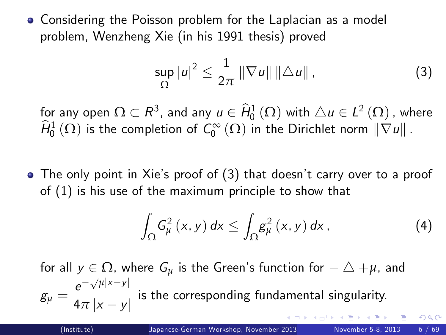Considering the Poisson problem for the Laplacian as a model problem, Wenzheng Xie (in his 1991 thesis) proved

$$
\sup_{\Omega} |u|^2 \leq \frac{1}{2\pi} \|\nabla u\| \|\Delta u\| \,, \tag{3}
$$

for any open  $\Omega \subset R^3$ , and any  $u \in \hat{H}^1_0(\Omega)$  with  $\triangle u \in L^2(\Omega)$  , where  $\widehat{H}^1_0(\Omega)$  is the completion of  $\mathcal{C}^\infty_0(\Omega)$  in the Dirichlet norm  $\|\nabla u\|$  .

• The only point in Xie's proof of (3) that doesn't carry over to a proof of [\(1\)](#page-2-0) is his use of the maximum principle to show that

$$
\int_{\Omega} G_{\mu}^{2} \left(x, y\right) dx \leq \int_{\Omega} g_{\mu}^{2} \left(x, y\right) dx, \tag{4}
$$

for all  $y \in \Omega$ , where  $G_{\mu}$  is the Green's function for  $-\triangle +\mu$ , and  $g_{\mu} = \frac{e^{-\sqrt{\mu}|x-y|}}{4\pi|x-y|}$  $\frac{1}{4\pi|x-y|}$  is the corresponding fundamental singularity.  $\Omega$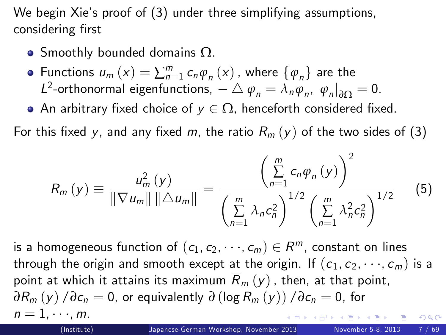We begin Xie's proof of (3) under three simplifying assumptions, considering first

- Smoothly bounded domains  $\Omega$ .
- Functions  $u_m(x) = \sum_{n=1}^m c_n \varphi_n(x)$ , where  $\{\varphi_n\}$  are the L<sup>2</sup>-orthonormal eigenfunctions,  $-\bigtriangleup \varphi_n = \lambda_n \varphi_n, \varphi_n|_{\partial \Omega} = 0.$
- An arbitrary fixed choice of  $y \in \Omega$ , henceforth considered fixed.

For this fixed y, and any fixed m, the ratio  $R_m(y)$  of the two sides of (3)

<span id="page-6-0"></span>
$$
R_{m}\left(y\right) \equiv \frac{u_{m}^{2}\left(y\right)}{\|\nabla u_{m}\| \|\Delta u_{m}\|} = \frac{\left(\sum_{n=1}^{m} c_{n} \varphi_{n}\left(y\right)\right)^{2}}{\left(\sum_{n=1}^{m} \lambda_{n} c_{n}^{2}\right)^{1/2} \left(\sum_{n=1}^{m} \lambda_{n}^{2} c_{n}^{2}\right)^{1/2}} \qquad (5)
$$

is a homogeneous function of  $(c_1, c_2, \dots, c_m) \in R^m$ , constant on lines through the origin and smooth except at the origin. If  $(\overline{c}_1, \overline{c}_2, \dots, \overline{c}_m)$  is a point at which it attains its maximum  $\overline{R}_m(y)$ , then, at that point,  $\partial R_m(y) / \partial c_n = 0$ , or equivalently  $\partial (\log R_m(y)) / \partial c_n = 0$ , for  $n = 1, \cdots, m.$ <br>(Institute)  $200$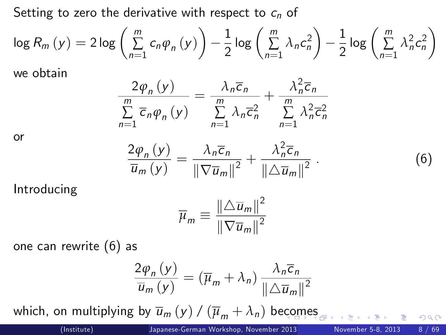Setting to zero the derivative with respect to  $c_n$  of

$$
\log R_m(y) = 2 \log \left( \sum_{n=1}^m c_n \varphi_n(y) \right) - \frac{1}{2} \log \left( \sum_{n=1}^m \lambda_n c_n^2 \right) - \frac{1}{2} \log \left( \sum_{n=1}^m \lambda_n^2 c_n^2 \right)
$$

we obtain

$$
\frac{2\varphi_n(y)}{\sum_{n=1}^m \overline{c}_n \varphi_n(y)} = \frac{\lambda_n \overline{c}_n}{\sum_{n=1}^m \lambda_n \overline{c}_n^2} + \frac{\lambda_n^2 \overline{c}_n}{\sum_{n=1}^m \lambda_n^2 \overline{c}_n^2}
$$

or

$$
\frac{2\varphi_n(y)}{\overline{u}_m(y)} = \frac{\lambda_n \overline{c}_n}{\|\nabla \overline{u}_m\|^2} + \frac{\lambda_n^2 \overline{c}_n}{\|\Delta \overline{u}_m\|^2}.
$$

Introducing

$$
\overline{\mu}_m \equiv \frac{\left\| \triangle \overline{u}_m \right\|^2}{\left\| \nabla \overline{u}_m \right\|^2}
$$

one can rewrite (6) as

$$
\frac{2\varphi_n(y)}{\overline{u}_m(y)} = (\overline{\mu}_m + \lambda_n) \frac{\lambda_n \overline{c}_n}{\|\Delta \overline{u}_m\|^2}
$$

which, on multiplying by  $\overline{u}_m(y) / (\overline{\mu}_m + \lambda_n)$  be[co](#page-6-0)[me](#page-8-0)[s](#page-6-0)

. (6)

<span id="page-7-0"></span> $QQ$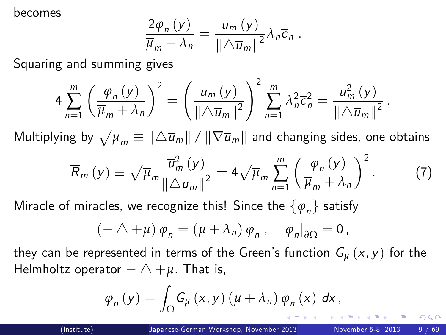becomes

$$
\frac{2\varphi_n(y)}{\overline{\mu}_m + \lambda_n} = \frac{\overline{u}_m(y)}{\left\| \Delta \overline{u}_m \right\|^2} \lambda_n \overline{c}_n.
$$

Squaring and summing gives

$$
4\sum_{n=1}^m\left(\frac{\varphi_n\left(y\right)}{\overline{\mu}_m+\lambda_n}\right)^2=\left(\frac{\overline{u}_m\left(y\right)}{\|\triangle \overline{u}_m\|^2}\right)^2\sum_{n=1}^m\lambda_n^2\overline{c}_n^2=\frac{\overline{u}_m^2\left(y\right)}{\|\triangle \overline{u}_m\|^2}.
$$

Multiplying by  $\sqrt{\overline{\mu}_m}\equiv \|\triangle \overline{u}_m\|$  /  $\|\nabla \overline{u}_m\|$  and changing sides, one obtains

$$
\overline{R}_m(y) \equiv \sqrt{\overline{\mu}_m} \frac{\overline{u}_m^2(y)}{\|\triangle \overline{u}_m\|^2} = 4\sqrt{\overline{\mu}_m} \sum_{n=1}^m \left(\frac{\varphi_n(y)}{\overline{\mu}_m + \lambda_n}\right)^2.
$$
 (7)

Miracle of miracles, we recognize this! Since the  $\{\varphi_{\scriptscriptstyle n}\}$  satisfy

$$
(-\Delta + \mu) \varphi_n = (\mu + \lambda_n) \varphi_n , \quad \varphi_n|_{\partial \Omega} = 0 ,
$$

they can be represented in terms of the Green's function  $G_{\mu}(x, y)$  for the Helmholtz operator  $-\triangle +\mu$ . That is,

$$
\varphi_n(y) = \int_{\Omega} G_{\mu}(x, y) (\mu + \lambda_n) \varphi_n(x) dx,
$$

<span id="page-8-0"></span> $200$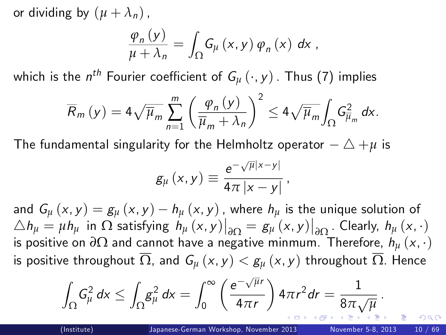or dividing by  $(\mu + \lambda_n)$ ,

$$
\frac{\varphi_{n}\left(y\right)}{\mu+\lambda_{n}}=\int_{\Omega}G_{\mu}\left(x,y\right)\varphi_{n}\left(x\right) dx ,
$$

which is the  $n^{th}$  Fourier coefficient of  $\mathcal{G}_{\mu}\left(\cdot,y\right)$  . Thus (7) implies

$$
\overline{R}_m(y) = 4\sqrt{\overline{\mu}_m} \sum_{n=1}^m \left(\frac{\varphi_n(y)}{\overline{\mu}_m + \lambda_n}\right)^2 \le 4\sqrt{\overline{\mu}_m} \int_{\Omega} G_{\overline{\mu}_m}^2 dx.
$$

The fundamental singularity for the Helmholtz operator  $-\triangle + \mu$  is

<span id="page-9-0"></span>
$$
g_{\mu}\left(x,y\right) \equiv \frac{e^{-\sqrt{\mu}|x-y|}}{4\pi|x-y|},
$$

and  $G_{\mu}(x, y) = g_{\mu}(x, y) - h_{\mu}(x, y)$ , where  $h_{\mu}$  is the unique solution of  $\Delta h_{\mu} = \mu h_{\mu}$  in  $\Omega$  satisfying  $h_{\mu}(x, y)|_{\partial \Omega} = g_{\mu}(x, y)|_{\partial \Omega}$ . Clearly,  $h_{\mu}(x, \cdot)$  $\frac{\Delta n_\mu - \mu n_\mu \ln 22}{}$  satisfying  $n_\mu(x, y)$   $\frac{\Delta n}{\Delta \Omega} = \frac{\epsilon \mu(x, y)}{\Delta \Omega}$ . Clearly,  $n_\mu(x, y)$ <br>is positive on  $\partial \Omega$  and cannot have a negative minmum. Therefore,  $h_\mu(x, y)$ is positive throughout  $\overline{\Omega}$ , and  $G_u(x, y) < g_u(x, y)$  throughout  $\overline{\Omega}$ . Hence

$$
\int_{\Omega} G_{\mu}^2 dx \leq \int_{\Omega} g_{\mu}^2 dx = \int_0^{\infty} \left( \frac{e^{-\sqrt{\mu}r}}{4\pi r} \right) 4\pi r^2 dr = \frac{1}{8\pi \sqrt{\mu}}.
$$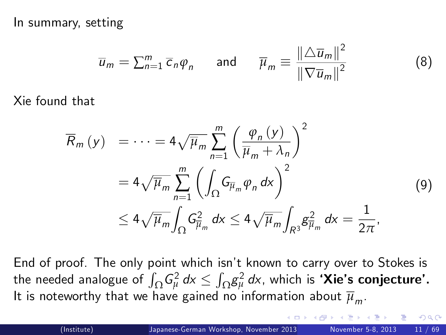In summary, setting

$$
\overline{u}_m = \sum_{n=1}^m \overline{c}_n \varphi_n \quad \text{and} \quad \overline{\mu}_m \equiv \frac{\left\| \triangle \overline{u}_m \right\|^2}{\left\| \nabla \overline{u}_m \right\|^2}
$$

Xie found that

$$
\overline{R}_{m}(y) = \dots = 4\sqrt{\overline{\mu}_{m}} \sum_{n=1}^{m} \left(\frac{\varphi_{n}(y)}{\overline{\mu}_{m} + \lambda_{n}}\right)^{2}
$$

$$
= 4\sqrt{\overline{\mu}_{m}} \sum_{n=1}^{m} \left(\int_{\Omega} G_{\overline{\mu}_{m}} \varphi_{n} dx\right)^{2}
$$

$$
\leq 4\sqrt{\overline{\mu}_{m}} \int_{\Omega} G_{\overline{\mu}_{m}}^{2} dx \leq 4\sqrt{\overline{\mu}_{m}} \int_{R^{3}} g_{\overline{\mu}_{m}}^{2} dx = \frac{1}{2\pi},
$$
(9)

End of proof. The only point which isn't known to carry over to Stokes is the needed analogue of  $\int_\Omega G_\mu^2 \, d\textsf{x} \le \int_\Omega g_\mu^2 \, d\textsf{x}$ , which is **'Xie's conjecture'.** It is noteworthy that we have gained no information about  $\overline{\mu}_m.$ 

<span id="page-10-0"></span>(8)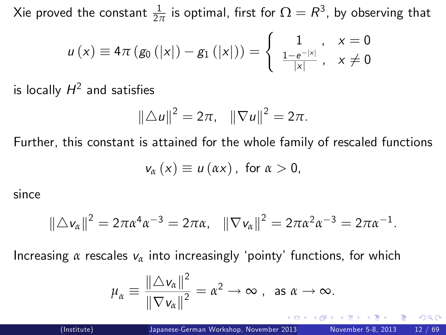Xie proved the constant  $\frac{1}{2\pi}$  is optimal, first for  $\Omega=R^3$ , by observing that

$$
u(x) \equiv 4\pi (g_0(|x|) - g_1(|x|)) = \begin{cases} 1, & x = 0 \\ \frac{1 - e^{-|x|}}{|x|}, & x \neq 0 \end{cases}
$$

is locally  $H^2$  and satisfies

$$
\|\triangle u\|^2 = 2\pi, \quad \|\nabla u\|^2 = 2\pi.
$$

Further, this constant is attained for the whole family of rescaled functions

$$
v_{\alpha}(x) \equiv u(\alpha x), \text{ for } \alpha > 0,
$$

since

$$
\|\triangle v_{\alpha}\|^2 = 2\pi\alpha^4\alpha^{-3} = 2\pi\alpha, \quad \|\nabla v_{\alpha}\|^2 = 2\pi\alpha^2\alpha^{-3} = 2\pi\alpha^{-1}.
$$

Increasing  $\alpha$  rescales  $v_{\alpha}$  into increasingly 'pointy' functions, for which

<span id="page-11-0"></span>
$$
\mu_{\alpha} \equiv \frac{\|\triangle v_{\alpha}\|^2}{\|\nabla v_{\alpha}\|^2} = \alpha^2 \to \infty \text{ , as } \alpha \to \infty.
$$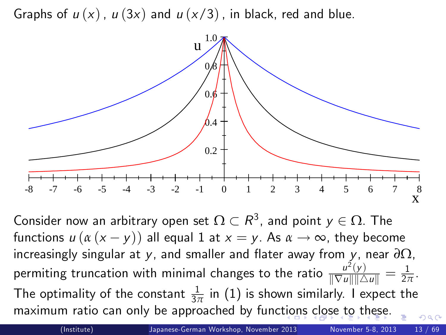Graphs of  $u(x)$ ,  $u(3x)$  and  $u(x/3)$ , in black, red and blue.



Consider now an arbitrary open set  $\Omega \subset R^3$ , and point  $y \in \Omega$ . The functions  $u (a (x - y))$  all equal 1 at  $x = y$ . As  $\alpha \rightarrow \infty$ , they become increasingly singular at y, and smaller and flater away from y, near  $\partial \Omega$ , permiting truncation with minimal changes to the ratio  $\frac{u^2(y)}{\|\nabla u\|\|\Delta u\|} = \frac{1}{2\pi}$ . The optimality of the constant  $\frac{1}{3\pi}$  in  $(1)$  is shown similarly. I expect the maximum ratio can only be approached by func[tio](#page-11-0)[ns](#page-13-0) [c](#page-11-0)[lo](#page-12-0)[se](#page-13-0)[to](#page-12-0) [t](#page-13-0)[h](#page-2-1)[e](#page-3-0)[s](#page-12-0)[e.](#page-13-0)  $\Omega$ 

<span id="page-12-0"></span>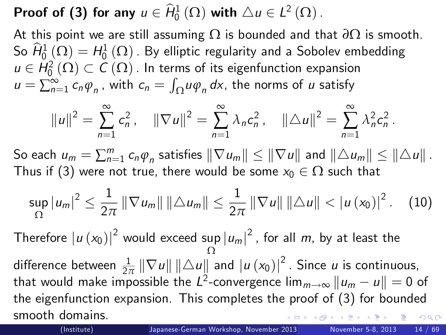Proof of (3) for any  $u \in \hat{H}^1_0(\Omega)$  with  $\Delta u \in L^2(\Omega)$ .

At this point we are still assuming Ω is bounded and that *∂*Ω is smooth. So  $\widehat{H}^{1}_{0}(\Omega)=H^{1}_{0}(\Omega)$  . By elliptic regularity and a Sobolev embedding  $u \in H_0^2(\Omega) \subset C(\Omega)$  . In terms of its eigenfunction expansion  $u = \sum_{n=1}^{\infty} c_n \varphi_n$ , with  $c_n = \int_{\Omega} u \varphi_n dx$ , the norms of  $u$  satisfy

$$
||u||^2 = \sum_{n=1}^{\infty} c_n^2, \quad ||\nabla u||^2 = \sum_{n=1}^{\infty} \lambda_n c_n^2, \quad ||\triangle u||^2 = \sum_{n=1}^{\infty} \lambda_n^2 c_n^2.
$$

So each  $u_m = \sum_{n=1}^m c_n \varphi_n$  satisfies  $\|\nabla u_m\| \le \|\nabla u\|$  and  $\|\triangle u_m\| \le \|\triangle u\|$ . Thus if (3) were not true, there would be some  $x_0 \in \Omega$  such that

$$
\sup_{\Omega} |u_m|^2 \leq \frac{1}{2\pi} \|\nabla u_m\| \|\triangle u_m\| \leq \frac{1}{2\pi} \|\nabla u\| \|\triangle u\| < |u(x_0)|^2. \tag{10}
$$

Therefore  $|u(x_0)|^2$  would exceed sup  $|u_m|^2$  , for all  $m$ , by at least the Ω difference between  $\frac{1}{2\pi} \|\nabla u\| \|\triangle u\|$  and  $|u(x_0)|^2$ . Since  $u$  is continuous, that would make impossible the  $L^2$ -convergence  $\lim_{m\to\infty} \|u_m-u\|=0$  of the eigenfunction expansion. This completes the proof of (3) for bounded smooth domains.  $\Omega$ 

<span id="page-13-0"></span>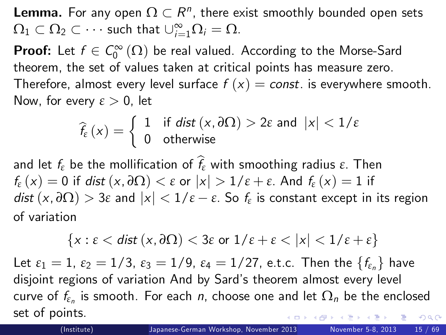**Lemma.** For any open  $\Omega \subset R^n$ , there exist smoothly bounded open sets  $\Omega_1 \subset \Omega_2 \subset \cdots$  such that  $\cup_{i=1}^{\infty} \Omega_i = \Omega$ .

**Proof:** Let  $f \in C_0^{\infty}(\Omega)$  be real valued. According to the Morse-Sard theorem, the set of values taken at critical points has measure zero. Therefore, almost every level surface  $f(x) = const.$  is everywhere smooth. Now, for every *ε* > 0, let

$$
\widehat{f_{\varepsilon}}\left(x\right)=\left\{\begin{array}{ll}1 & \text{if } \textit{dist}\left(x,\partial\Omega\right)>2\varepsilon \text{ and } \left|x\right|<1/\varepsilon \\ 0 & \text{otherwise}\end{array}\right.
$$

and let  $f_{\varepsilon}$  be the mollification of  $\widehat{f}_{\varepsilon}$  with smoothing radius  $\varepsilon$ . Then  $f_{\varepsilon}$  (x) = 0 if dist (x,  $\partial \Omega$ ) <  $\varepsilon$  or  $|x| > 1/\varepsilon + \varepsilon$ . And  $f_{\varepsilon}$  (x) = 1 if  $\mathsf{dist}\left(x,\partial\Omega\right) > 3\varepsilon$  and  $|x| < 1/\varepsilon - \varepsilon$ . So  $f_{\varepsilon}$  is constant except in its region of variation

$$
\{x:\varepsilon < \text{dist}\,(x,\partial\Omega) < 3\varepsilon \text{ or } 1/\varepsilon + \varepsilon < |x| < 1/\varepsilon + \varepsilon\}
$$

Let  $\varepsilon_1 = 1$ ,  $\varepsilon_2 = 1/3$ ,  $\varepsilon_3 = 1/9$ ,  $\varepsilon_4 = 1/27$ , e.t.c. Then the  $\{f_{\varepsilon_n}\}\)$  have disjoint regions of variation And by Sard's theorem almost every level curve of  $f_{\varepsilon_n}$  is smooth. For each  $\emph{n}$ , choose one and let  $\Omega_{\emph{n}}$  be the enclosed set of points.  $QQ$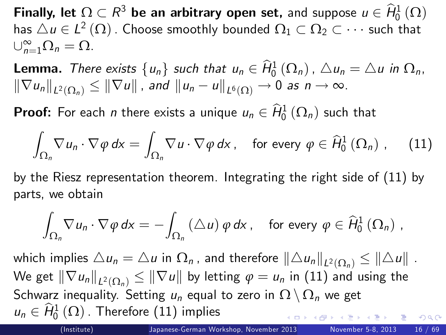Finally, let  $\Omega \subset R^3$  be an arbitrary open set, and suppose  $u \in \hat{H}^1_0(\Omega)$ has  $\triangle u \in L^2(\Omega)$  . Choose smoothly bounded  $\Omega_1 \subset \Omega_2 \subset \cdots$  such that  $\cup_{n=1}^{\infty} \Omega_n = \Omega.$ 

**Lemma.** There exists  $\{u_n\}$  such that  $u_n \in \hat{H}_0^1(\Omega_n)$  ,  $\triangle u_n = \triangle u$  in  $\Omega_n$ ,  $\|\nabla u_n\|_{L^2(\Omega_n)}\leq \|\nabla u\|$  , and  $\|u_n-u\|_{L^6(\Omega)}\to 0$  as  $n\to\infty$ .

**Proof:** For each *n* there exists a unique  $u_n \in \hat{H}^1_0(\Omega_n)$  such that

$$
\int_{\Omega_n} \nabla u_n \cdot \nabla \varphi \, dx = \int_{\Omega_n} \nabla u \cdot \nabla \varphi \, dx, \quad \text{for every } \varphi \in \hat{H}_0^1(\Omega_n) , \quad (11)
$$

by the Riesz representation theorem. Integrating the right side of [\(11\)](#page-15-0) by parts, we obtain

<span id="page-15-1"></span><span id="page-15-0"></span>
$$
\int_{\Omega_n} \nabla u_n \cdot \nabla \varphi \, dx = - \int_{\Omega_n} (\triangle u) \varphi \, dx, \quad \text{for every } \varphi \in \widehat{H}_0^1(\Omega_n) ,
$$

which implies  $\triangle u_n = \triangle u$  in  $\Omega_n$  , and therefore  $\|\triangle u_n\|_{L^2(\Omega_n)} \leq \|\triangle u\|$  . We get  $\left\| \nabla u_n \right\|_{L^2(\Omega_n)} \le \left\| \nabla u \right\|$  by letting  $\varphi = u_n$  in  $(11)$  and using the Schwarz inequality. Setting  $u_n$  equal to zero in  $\Omega \setminus \Omega_n$  we get  $u_n \in \widehat{H}^1_0(\Omega)$  . Therefore  $(11)$  implies  $QQ$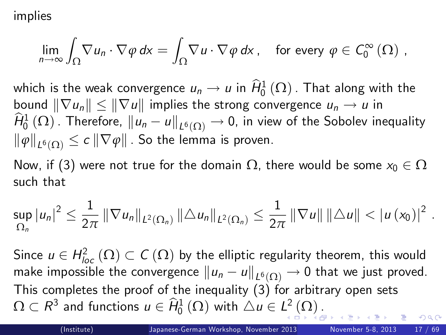implies

$$
\lim_{n\to\infty}\int_{\Omega}\nabla u_n\cdot\nabla\varphi\,dx=\int_{\Omega}\nabla u\cdot\nabla\varphi\,dx\,,\quad\text{for every }\varphi\in C_0^{\infty}\left(\Omega\right)\,,
$$

which is the weak convergence  $u_n \to u$  in  $\widehat{H}^1_0(\Omega)$  . That along with the bound  $\|\nabla u_n\| \leq \|\nabla u\|$  implies the strong convergence  $u_n \to u$  in  $\widehat{H}^1_0(\Omega)$  . Therefore,  $\|u_n-u\|_{L^6(\Omega)}\to 0$ , in view of the Sobolev inequality  $\|\varphi\|_{L^{6}(\Omega)}\leq c\left\|\nabla\varphi\right\|$  . So the lemma is proven.

Now, if (3) were not true for the domain  $\Omega$ , there would be some  $x_0 \in \Omega$ such that

$$
\sup_{\Omega_n} |u_n|^2 \leq \frac{1}{2\pi} ||\nabla u_n||_{L^2(\Omega_n)} ||\triangle u_n||_{L^2(\Omega_n)} \leq \frac{1}{2\pi} ||\nabla u|| ||\triangle u|| < |u(x_0)|^2
$$

Since  $u \in H_{loc}^2(\Omega) \subset \mathcal{C}(\Omega)$  by the elliptic regularity theorem, this would make impossible the convergence  $\|u_n-u\|_{L^6(\Omega)}\to 0$  that we just proved. This completes the proof of the inequality (3) for arbitrary open sets  $\Omega \subset R^3$  and functions  $u \in \widehat H_0^1 \left( \Omega \right)$  $u \in \widehat H_0^1 \left( \Omega \right)$  with  $\triangle u \in L^2 \left( \Omega \right)$  $\triangle u \in L^2 \left( \Omega \right)$  $\triangle u \in L^2 \left( \Omega \right)$  [.](#page-16-0)

<span id="page-16-0"></span>.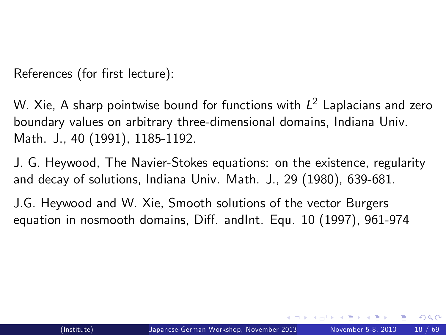References (for first lecture):

W. Xie, A sharp pointwise bound for functions with  $\mathit{L}^2$  Laplacians and zero boundary values on arbitrary three-dimensional domains, Indiana Univ. Math. J., 40 (1991), 1185-1192.

J. G. Heywood, The Navier-Stokes equations: on the existence, regularity and decay of solutions, Indiana Univ. Math. J., 29 (1980), 639-681.

J.G. Heywood and W. Xie, Smooth solutions of the vector Burgers equation in nosmooth domains, Diff. andInt. Equ. 10 (1997), 961-974

<span id="page-17-0"></span> $200$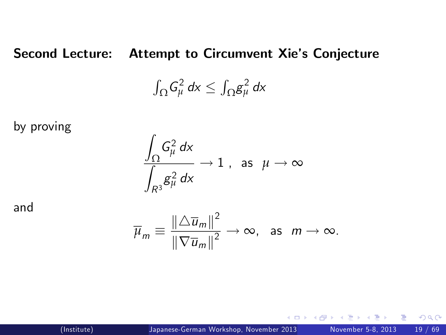#### Second Lecture: Attempt to Circumvent Xie's Conjecture

$$
\int_{\Omega} G_{\mu}^2 dx \leq \int_{\Omega} g_{\mu}^2 dx
$$

by proving

$$
\frac{\int_{\Omega} G_{\mu}^2 dx}{\int_{R^3} g_{\mu}^2 dx} \to 1 \text{ , as } \mu \to \infty
$$

and

$$
\overline{\mu}_m \equiv \frac{\|\triangle \overline{u}_m\|^2}{\|\nabla \overline{u}_m\|^2} \to \infty, \text{ as } m \to \infty.
$$

4 D F

 $QQ$ 

э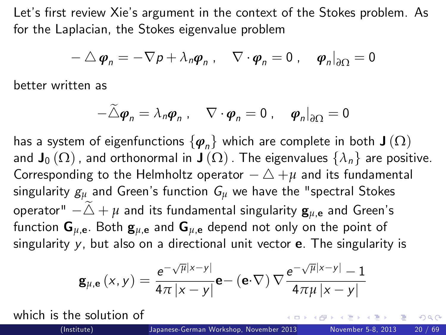Let's first review Xie's argument in the context of the Stokes problem. As for the Laplacian, the Stokes eigenvalue problem

$$
-\triangle \boldsymbol{\varphi}_n = -\nabla p + \lambda_n \boldsymbol{\varphi}_n , \quad \nabla \cdot \boldsymbol{\varphi}_n = 0 , \quad \boldsymbol{\varphi}_n \big|_{\partial \Omega} = 0
$$

better written as

$$
-\widetilde{\triangle}\boldsymbol{\varphi}_n=\lambda_n\boldsymbol{\varphi}_n\;,\quad \nabla\cdot\boldsymbol{\varphi}_n=0\;,\quad \boldsymbol{\varphi}_n\big|_{\partial\Omega}=0
$$

has a system of eigenfunctions  $\{\boldsymbol{\varphi}_n\}$  which are complete in both  $\mathbf{J}(\Omega)$ and  $J_0(\Omega)$ , and orthonormal in  $J(\Omega)$ . The eigenvalues  $\{\lambda_n\}$  are positive. Corresponding to the Helmholtz operator  $-\triangle + \mu$  and its fundamental singularity  $g_{\mu}$  and Green's function  $G_{\mu}$  we have the "spectral Stokes operator"  $-\tilde{\triangle}$  +  $\mu$  and its fundamental singularity  $\mathbf{g}_{\mu,\mathbf{e}}$  and Green's function  $G_{\mu,e}$ . Both  $g_{\mu,e}$  and  $G_{\mu,e}$  depend not only on the point of singularity  $y$ , but also on a directional unit vector  $e$ . The singularity is

$$
\mathbf{g}_{\mu,\mathbf{e}}\left(x,y\right)=\frac{\mathrm{e}^{-\sqrt{\mu}\left|x-y\right|}}{4\pi\left|x-y\right|}\mathbf{e}-\left(\mathbf{e}\cdot\nabla\right)\nabla\frac{\mathrm{e}^{-\sqrt{\mu}\left|x-y\right|}-1}{4\pi\mu\left|x-y\right|}
$$

which is the solution of

<span id="page-19-0"></span> $QQ$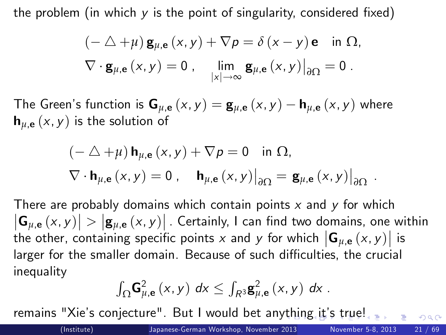the problem (in which  $y$  is the point of singularity, considered fixed)

$$
(- \triangle + \mu) \mathbf{g}_{\mu, \mathbf{e}}(x, y) + \nabla p = \delta(x - y) \mathbf{e} \text{ in } \Omega, \nabla \cdot \mathbf{g}_{\mu, \mathbf{e}}(x, y) = 0, \quad \lim_{|x| \to \infty} \mathbf{g}_{\mu, \mathbf{e}}(x, y)|_{\partial \Omega} = 0.
$$

The Green's function is  $\mathbf{G}_{\mu,\mathbf{e}}(x,y) = \mathbf{g}_{\mu,\mathbf{e}}(x,y) - \mathbf{h}_{\mu,\mathbf{e}}(x,y)$  where  $h_{\mu,\mathbf{e}}(x, y)$  is the solution of

$$
(-\triangle + \mu) \mathbf{h}_{\mu, \mathbf{e}}(x, y) + \nabla p = 0 \text{ in } \Omega,
$$
  

$$
\nabla \cdot \mathbf{h}_{\mu, \mathbf{e}}(x, y) = 0, \quad \mathbf{h}_{\mu, \mathbf{e}}(x, y)|_{\partial \Omega} = \mathbf{g}_{\mu, \mathbf{e}}(x, y)|_{\partial \Omega}.
$$

There are probably domains which contain points  $x$  and  $y$  for which  $|\mathbf{G}_{\mu,\mathbf{e}}(x,y)| > |\mathbf{g}_{\mu,\mathbf{e}}(x,y)|$  . Certainly, I can find two domains, one within the other, containing specific points  $x$  and  $y$  for which  $\left|\mathsf{G}_{\mu,\mathsf{e}}\left(x,y\right)\right|$  is larger for the smaller domain. Because of such difficulties, the crucial inequality

<span id="page-20-0"></span>
$$
\int_{\Omega} \mathbf{G}_{\mu,\mathbf{e}}^{2}\left(x,y\right) dx \leq \int_{R^{3}} \mathbf{g}_{\mu,\mathbf{e}}^{2}\left(x,y\right) dx.
$$

remains "Xie's conjecture". But I would bet an[yth](#page-19-0)i[ng](#page-21-0) [it](#page-20-0)'s [t](#page-19-0)[ru](#page-20-0)[e!](#page-21-0)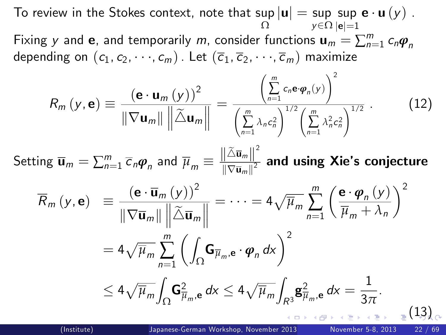To review in the Stokes context, note that  $\sup|\mathbf{u}| = \sup_{\mathbf{y} \in \Omega} \sup_{|\mathbf{a}| = 1} \mathbf{e} \cdot \mathbf{u}(y)$  . Ω y∈Ω  $|$ e $|$ =1 Fixing  $y$  and  $\mathbf{e}_i$  and temporarily  $m$ , consider functions  $\mathbf{u}_m = \sum_{n=1}^m c_n \boldsymbol{\varphi}_n$ depending on  $(c_1, c_2, \dots, c_m)$ . Let  $(\overline{c}_1, \overline{c}_2, \dots, \overline{c}_m)$  maximize  $\sqrt{m}$  $\sqrt{2}$ 

$$
R_m(y, \mathbf{e}) \equiv \frac{(\mathbf{e} \cdot \mathbf{u}_m(y))^2}{\|\nabla \mathbf{u}_m\| \|\tilde{\Delta} \mathbf{u}_m\|} = \frac{\left(\sum_{n=1}^{\infty} c_n \mathbf{e} \cdot \varphi_n(y)\right)}{\left(\sum_{n=1}^m \lambda_n c_n^2\right)^{1/2} \left(\sum_{n=1}^m \lambda_n^2 c_n^2\right)^{1/2}}.
$$
 (12)

 $\mathsf{Setting}\ \overline{\mathbf{u}}_m = \sum_{n=1}^m \overline{c}_n \boldsymbol{\varphi}_n$  and  $\overline{\mu}_m \equiv \frac{\left\| \tilde{\triangle} \overline{\mathbf{u}}_m \right\|^2}{\|\nabla \overline{\mathbf{u}}_m\|^2}$  $\frac{\| \mathbf{u} - \mathbf{u}_m \|}{\|\nabla \mathbf{\bar{u}}_m \|^2}$  and using Xie's conjecture

<span id="page-21-0"></span>
$$
\overline{R}_{m} (y, \mathbf{e}) = \frac{(\mathbf{e} \cdot \overline{\mathbf{u}}_{m} (y))^{2}}{\|\nabla \overline{\mathbf{u}}_{m}\| \|\tilde{\Delta} \overline{\mathbf{u}}_{m}\|} = \dots = 4\sqrt{\overline{\mu}_{m}} \sum_{n=1}^{m} \left(\frac{\mathbf{e} \cdot \boldsymbol{\varphi}_{n} (y)}{\overline{\mu}_{m} + \lambda_{n}}\right)^{2}
$$

$$
= 4\sqrt{\overline{\mu}_{m}} \sum_{n=1}^{m} \left(\int_{\Omega} \mathbf{G}_{\overline{\mu}_{m}, \mathbf{e}} \cdot \boldsymbol{\varphi}_{n} d\mathbf{x}\right)^{2}
$$

$$
\leq 4\sqrt{\overline{\mu}_{m}} \int_{\Omega} \mathbf{G}_{\overline{\mu}_{m}, \mathbf{e}}^{2} d\mathbf{x} \leq 4\sqrt{\overline{\mu}_{m}} \int_{R^{3}} \mathbf{g}_{\overline{\mu}_{m}, \mathbf{e}}^{2} d\mathbf{x} = \frac{1}{3\pi}.
$$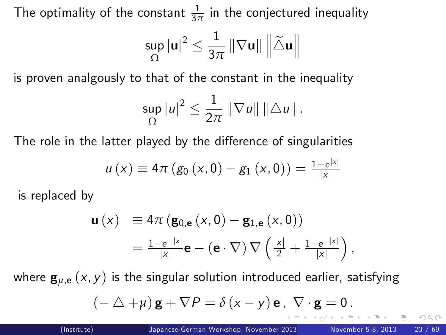The optimality of the constant  $\frac{1}{3\pi}$  in the conjectured inequality

$$
\sup_{\Omega}\left|\mathbf{u}\right|^{2} \leq \frac{1}{3\pi}\left\|\nabla\mathbf{u}\right\|\left\|\tilde{\triangle}\mathbf{u}\right\|
$$

is proven analgously to that of the constant in the inequality

$$
\sup_{\Omega} |u|^2 \leq \frac{1}{2\pi} \|\nabla u\| \|\Delta u\|.
$$

The role in the latter played by the difference of singularities

$$
u(x) \equiv 4\pi (g_0(x, 0) - g_1(x, 0)) = \frac{1 - e^{|x|}}{|x|}
$$

is replaced by

$$
\begin{array}{ll} \mathbf{u}\left(x\right) & \equiv 4\pi\left(\mathbf{g}_{0,\mathbf{e}}\left(x,0\right)-\mathbf{g}_{1,\mathbf{e}}\left(x,0\right)\right) \\ & = \frac{1-\mathbf{e}^{-|x|}}{|x|}\mathbf{e}-\left(\mathbf{e}\cdot\nabla\right)\nabla\left(\frac{|x|}{2}+\frac{1-\mathbf{e}^{-|x|}}{|x|}\right), \end{array}
$$

where  $\mathbf{g}_{\mu,\mathbf{e}}(x,y)$  is the singular solution introduced earlier, satisfying

<span id="page-22-0"></span>
$$
(-\triangle + \mu) \mathbf{g} + \nabla P = \delta(x - y) \mathbf{e}, \ \nabla \cdot \mathbf{g} = 0.
$$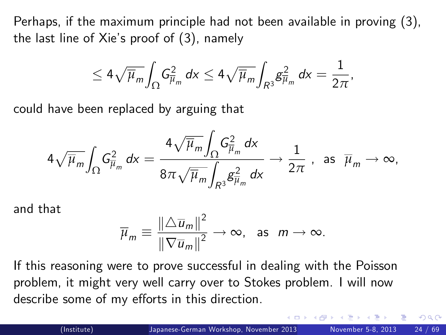Perhaps, if the maximum principle had not been available in proving (3), the last line of Xie's proof of  $(3)$ , namely

$$
\leq 4\sqrt{\overline{\mu}_m}\int_{\Omega}G^2_{\overline{\mu}_m}\,dx\leq 4\sqrt{\overline{\mu}_m}\int_{R^3}g^2_{\overline{\mu}_m}\,dx=\frac{1}{2\pi},
$$

could have been replaced by arguing that

$$
4\sqrt{\overline{\mu}_m}\int_{\Omega}G^2_{\overline{\mu}_m}\,dx=\frac{4\sqrt{\overline{\mu}_m}\int_{\Omega}G^2_{\overline{\mu}_m}\,dx}{8\pi\sqrt{\overline{\mu}_m}\int_{R^3} \mathcal{E}^2_{\overline{\mu}_m}\,dx}\rightarrow \frac{1}{2\pi}\,\,,\,\,\text{ as }\,\,\overline{\mu}_m\rightarrow\infty,
$$

and that

$$
\overline{\mu}_m \equiv \frac{\|\triangle \overline{u}_m\|^2}{\|\nabla \overline{u}_m\|^2} \to \infty, \text{ as } m \to \infty.
$$

If this reasoning were to prove successful in dealing with the Poisson problem, it might very well carry over to Stokes problem. I will now describe some of my efforts in this direction.

<span id="page-23-0"></span>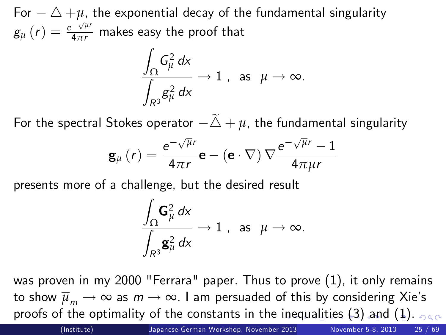For  $-\triangle +\mu$ , the exponential decay of the fundamental singularity  $g_{\mu}\left(r\right)=\frac{e^{-\sqrt{\mu}r}}{4\pi r}$  makes easy the proof that

$$
\frac{\int_{\Omega} G_{\mu}^2 dx}{\int_{R^3} g_{\mu}^2 dx} \to 1 \text{ , as } \mu \to \infty.
$$

For the spectral Stokes operator  $-\tilde{\triangle} + \mu$ , the fundamental singularity

$$
\mathbf{g}_{\mu}\left(r\right)=\frac{\mathrm{e}^{-\sqrt{\mu}r}}{4\pi r}\mathbf{e}-\left(\mathbf{e}\cdot\nabla\right)\nabla\frac{\mathrm{e}^{-\sqrt{\mu}r}-1}{4\pi\mu r}
$$

presents more of a challenge, but the desired result

$$
\frac{\displaystyle\int_\Omega \mathbf{G}_\mu^2\,d\mathsf{x}}{\displaystyle\int_{R^3} \mathbf{g}_\mu^2\,d\mathsf{x}}\to 1\ ,\ \ \text{as}\ \ \mu\to\infty.
$$

was proven in my 2000 "Ferrara" paper. Thus to prove [\(1\)](#page-2-0), it only remains to show  $\overline{\mu}_m \to \infty$  as  $m \to \infty$ . I am persuaded of this by considering Xie's proofs of the optimality of the constants in the [ine](#page-23-0)[qu](#page-25-0)[a](#page-23-0)[lit](#page-24-0)[ie](#page-25-0)[s](#page-23-0) [\(](#page-0-0)3[\)](#page-25-0)[an](#page-24-0)[d](#page-25-0) ([1](#page-2-0)[\).](#page-68-0)

(Institute) [Japanese-German Workshop, November 2013](#page-0-0) November 5-8, 2013 25 / 69

<span id="page-24-0"></span>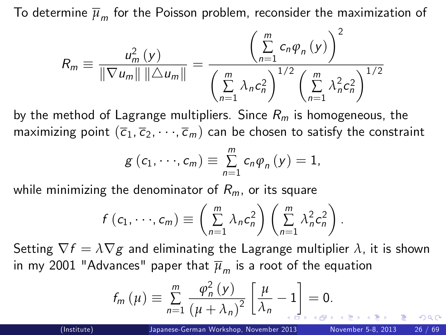To determine  $\overline{\mu}_m$  for the Poisson problem, reconsider the maximization of

$$
R_m \equiv \frac{u_m^2(y)}{\|\nabla u_m\| \|\Delta u_m\|} = \frac{\left(\sum\limits_{n=1}^m c_n \varphi_n(y)\right)^2}{\left(\sum\limits_{n=1}^m \lambda_n c_n^2\right)^{1/2} \left(\sum\limits_{n=1}^m \lambda_n^2 c_n^2\right)^{1/2}}
$$

by the method of Lagrange multipliers. Since  $R_m$  is homogeneous, the maximizing point  $(\overline{c}_1, \overline{c}_2, \dots, \overline{c}_m)$  can be chosen to satisfy the constraint

$$
g(c_1,\dots,c_m)\equiv \sum_{n=1}^m c_n\varphi_n(y)=1,
$$

while minimizing the denominator of  $R<sub>m</sub>$ , or its square

$$
f(c_1,\dots,c_m)\equiv \left(\sum_{n=1}^m \lambda_n c_n^2\right)\left(\sum_{n=1}^m \lambda_n^2 c_n^2\right).
$$

Setting  $\nabla f = \lambda \nabla g$  and eliminating the Lagrange multiplier  $\lambda$ , it is shown in my 2001 "Advances" paper that  $\overline{\mu}_m$  is a root of the equation

$$
f_m(\mu) \equiv \sum_{n=1}^m \frac{\varphi_n^2(\mu)}{(\mu + \lambda_n)^2} \left[ \frac{\mu}{\lambda_n} - 1 \right] = 0.
$$

<span id="page-25-0"></span>つひひ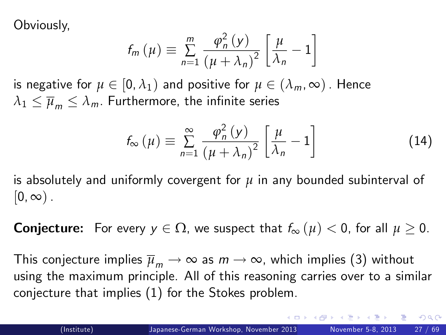Obviously,

$$
f_m(\mu) \equiv \sum_{n=1}^m \frac{\varphi_n^2(\mu)}{(\mu + \lambda_n)^2} \left[ \frac{\mu}{\lambda_n} - 1 \right]
$$

is negative for  $\mu \in [0, \lambda_1)$  and positive for  $\mu \in (\lambda_m, \infty)$ . Hence  $\lambda_1 \leq \overline{\mu}_m \leq \lambda_m$ . Furthermore, the infinite series

$$
f_{\infty}(\mu) \equiv \sum_{n=1}^{\infty} \frac{\varphi_n^2(\nu)}{(\mu + \lambda_n)^2} \left[ \frac{\mu}{\lambda_n} - 1 \right]
$$
 (14)

is absolutely and uniformly covergent for *µ* in any bounded subinterval of  $[0, \infty)$ .

**Conjecture:** For every  $y \in \Omega$ , we suspect that  $f_{\infty}(\mu) < 0$ , for all  $\mu \geq 0$ .

This conjecture implies  $\overline{\mu}_m \to \infty$  as  $m \to \infty$ , which implies (3) without using the maximum principle. All of this reasoning carries over to a similar conjecture that implies [\(1\)](#page-2-0) for the Stokes problem.

 $QQQ$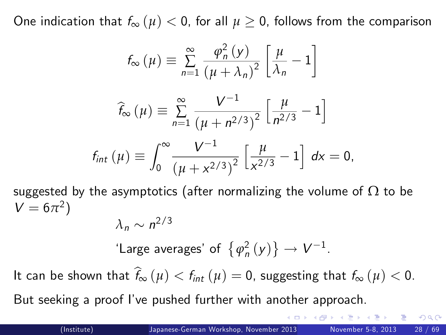One indication that  $f_{\infty}(\mu) < 0$ , for all  $\mu \geq 0$ , follows from the comparison

$$
f_{\infty}(\mu) \equiv \sum_{n=1}^{\infty} \frac{\varphi_n^2(\mu)}{(\mu + \lambda_n)^2} \left[ \frac{\mu}{\lambda_n} - 1 \right]
$$

$$
\widehat{f}_{\infty}(\mu) \equiv \sum_{n=1}^{\infty} \frac{V^{-1}}{\left(\mu + n^{2/3}\right)^2} \left[\frac{\mu}{n^{2/3}} - 1\right]
$$

$$
f_{int} (\mu) \equiv \int_0^\infty \frac{V^{-1}}{\left(\mu + x^{2/3}\right)^2} \left[\frac{\mu}{x^{2/3}} - 1\right] dx = 0,
$$

suggested by the asymptotics (after normalizing the volume of  $\Omega$  to be  $V = 6\pi^2$ )

$$
\lambda_n \sim n^{2/3}
$$

'Large averages' of  $\{\varphi_n^2(y)\}\to V^{-1}$ .

It can be shown that  $\widehat{f}_{\infty} (\mu) < f_{int} (\mu) = 0$ , suggesting that  $f_{\infty} (\mu) < 0$ .

But seeking a proof I've pushed further with another approach.

つへへ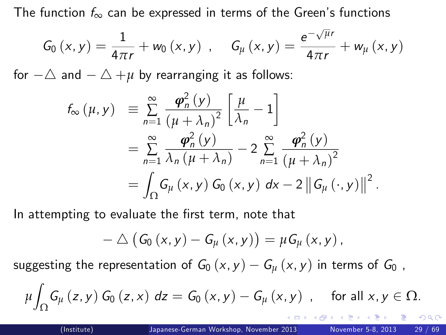The function  $f_{\infty}$  can be expressed in terms of the Green's functions

$$
G_{0}\left(x,y\right)=\frac{1}{4\pi r}+w_{0}\left(x,y\right)\;,\quad\;G_{\mu}\left(x,y\right)=\frac{e^{-\sqrt{\mu}r}}{4\pi r}+w_{\mu}\left(x,y\right)
$$

for  $-\triangle$  and  $-\triangle +\mu$  by rearranging it as follows:

$$
f_{\infty}(\mu, y) \equiv \sum_{n=1}^{\infty} \frac{\boldsymbol{\varphi}_n^2(y)}{(\mu + \lambda_n)^2} \left[ \frac{\mu}{\lambda_n} - 1 \right]
$$
  
= 
$$
\sum_{n=1}^{\infty} \frac{\boldsymbol{\varphi}_n^2(y)}{\lambda_n (\mu + \lambda_n)} - 2 \sum_{n=1}^{\infty} \frac{\boldsymbol{\varphi}_n^2(y)}{(\mu + \lambda_n)^2}
$$
  
= 
$$
\int_{\Omega} G_{\mu}(x, y) G_0(x, y) dx - 2 ||G_{\mu}(\cdot, y)||^2.
$$

In attempting to evaluate the first term, note that

$$
- \triangle (G_0 (x, y) - G_{\mu} (x, y)) = \mu G_{\mu} (x, y),
$$

suggesting the representation of  $G_0(x, y) - G_u(x, y)$  in terms of  $G_0$ ,

$$
\mu \int_{\Omega} G_{\mu}(z, y) G_{0}(z, x) dz = G_{0}(x, y) - G_{\mu}(x, y) , \text{ for all } x, y \in \Omega.
$$

<span id="page-28-0"></span>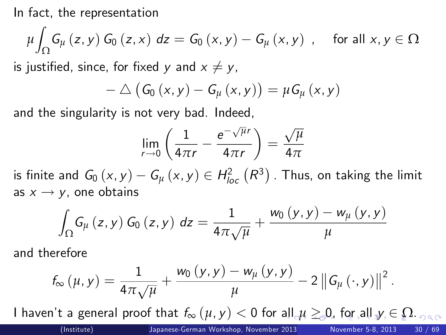In fact, the representation

$$
\mu \int_{\Omega} G_{\mu} (z, y) G_{0} (z, x) dz = G_{0} (x, y) - G_{\mu} (x, y) , \text{ for all } x, y \in \Omega
$$

is justified, since, for fixed y and  $x \neq y$ ,

$$
- \triangle \left(G_0(x,y) - G_\mu(x,y)\right) = \mu G_\mu(x,y)
$$

and the singularity is not very bad. Indeed,

<span id="page-29-0"></span>
$$
\lim_{r \to 0} \left( \frac{1}{4\pi r} - \frac{e^{-\sqrt{\mu}r}}{4\pi r} \right) = \frac{\sqrt{\mu}}{4\pi}
$$

is finite and  $G_0(x, y) - G_\mu(x, y) \in H^2_{loc} (R^3)$  . Thus, on taking the limit as  $x \rightarrow y$ , one obtains

$$
\int_{\Omega} G_{\mu} (z, y) G_{0} (z, y) dz = \frac{1}{4\pi \sqrt{\mu}} + \frac{w_{0} (y, y) - w_{\mu} (y, y)}{\mu}
$$

and therefore

$$
f_{\infty}(\mu, y) = \frac{1}{4\pi\sqrt{\mu}} + \frac{w_0(y, y) - w_{\mu}(y, y)}{\mu} - 2\left\|G_{\mu}(\cdot, y)\right\|^2.
$$

I haven't a general proo[f](#page-28-0) that  $f_{\infty}(\mu, y) < 0$  $f_{\infty}(\mu, y) < 0$  for [all](#page-28-0)  $\mu \geq 0$ , f[or](#page-29-0) [a](#page-30-0)[ll](#page-28-0)  $y \in \Omega$  $y \in \Omega$ . <sub>OR C</sub><br>(Institute) Japanese-German Workshop, November [2](#page-0-0)013 November 5-8, 2013 30 / 69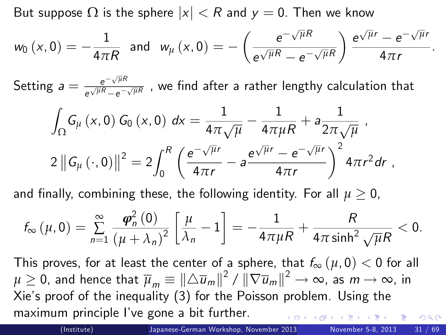But suppose  $\Omega$  is the sphere  $|x| < R$  and  $y = 0$ . Then we know

$$
w_0(x,0)=-\frac{1}{4\pi R} \text{ and } w_{\mu}(x,0)=-\left(\frac{e^{-\sqrt{\mu}R}}{e^{\sqrt{\mu}R}-e^{-\sqrt{\mu}R}}\right)\frac{e^{\sqrt{\mu}r}-e^{-\sqrt{\mu}r}}{4\pi r}
$$

Setting  $a = \frac{e^{-\sqrt{\mu}R}}{e^{\sqrt{\mu}R} - e^{-\sqrt{\mu}R}}$  $\frac{e^{-\sqrt{\mu}R}-e^{-\sqrt{\mu}R}}{e^{\sqrt{\mu}R}-e^{-\sqrt{\mu}R}}$  , we find after a rather lengthy calculation that

$$
\int_{\Omega} G_{\mu} (x, 0) G_{0} (x, 0) dx = \frac{1}{4\pi \sqrt{\mu}} - \frac{1}{4\pi \mu R} + a \frac{1}{2\pi \sqrt{\mu}},
$$
  

$$
2 ||G_{\mu} (\cdot, 0)||^{2} = 2 \int_{0}^{R} \left( \frac{e^{-\sqrt{\mu}r}}{4\pi r} - a \frac{e^{\sqrt{\mu}r} - e^{-\sqrt{\mu}r}}{4\pi r} \right)^{2} 4\pi r^{2} dr,
$$

and finally, combining these, the following identity. For all  $\mu > 0$ ,

$$
f_{\infty}\left(\mu,0\right)=\sum_{n=1}^{\infty}\frac{\boldsymbol{\varphi}_{n}^{2}\left(0\right)}{\left(\mu+\lambda_{n}\right)^{2}}\left[\frac{\mu}{\lambda_{n}}-1\right]=-\frac{1}{4\pi\mu R}+\frac{R}{4\pi\sinh^{2}\sqrt{\mu}R}<0.
$$

This proves, for at least the center of a sphere, that  $f_{\infty}(\mu, 0) < 0$  for all  $\mu\geq 0$ , and hence that  $\overline{\mu}_m\equiv \|\triangle \overline{u}_m\|^2\,/\,\|\nabla \overline{u}_m\|^2\to \infty$ , as  $m\to \infty$ , in Xieís proof of the inequality (3) for the Poisson problem. Using the maximum principle Iíve gone a bit further.  $200$ 

<span id="page-30-0"></span>.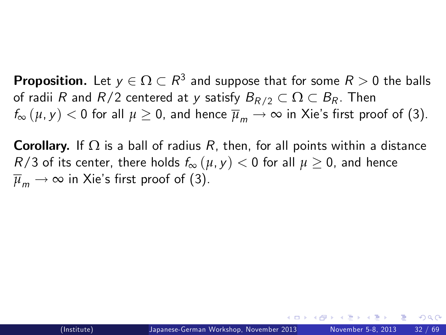**Proposition.** Let  $y \in \Omega \subset R^3$  and suppose that for some  $R > 0$  the balls of radii R and  $R/2$  centered at y satisfy  $B_{R/2} \subset \Omega \subset B_R$ . Then  $f_{\infty}(\mu, \nu) < 0$  for all  $\mu \geq 0$ , and hence  $\overline{\mu}_{m} \to \infty$  in Xie's first proof of (3).

**Corollary.** If  $\Omega$  is a ball of radius R, then, for all points within a distance R/3 of its center, there holds  $f_{\infty}(\mu, \gamma) < 0$  for all  $\mu \geq 0$ , and hence  $\overline{\mu}_m \rightarrow \infty$  in Xie's first proof of (3).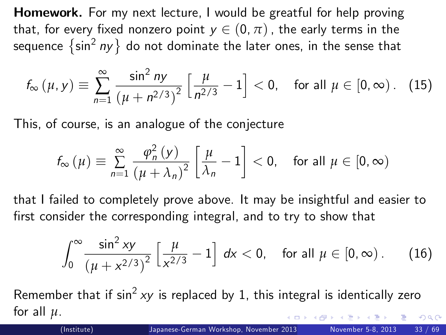**Homework.** For my next lecture, I would be greatful for help proving that, for every fixed nonzero point  $y \in (0, \pi)$ , the early terms in the sequence  $\left\{ \sin^{2}ny\right\}$  do not dominate the later ones, in the sense that

$$
f_{\infty}(\mu, y) \equiv \sum_{n=1}^{\infty} \frac{\sin^2 ny}{(\mu + n^{2/3})^2} \left[ \frac{\mu}{n^{2/3}} - 1 \right] < 0, \text{ for all } \mu \in [0, \infty). \quad (15)
$$

This, of course, is an analogue of the conjecture

$$
f_{\infty}(\mu) \equiv \sum_{n=1}^{\infty} \frac{\varphi_n^2(\nu)}{(\mu + \lambda_n)^2} \left[ \frac{\mu}{\lambda_n} - 1 \right] < 0, \quad \text{for all } \mu \in [0, \infty)
$$

that I failed to completely prove above. It may be insightful and easier to first consider the corresponding integral, and to try to show that

<span id="page-32-0"></span>
$$
\int_0^\infty \frac{\sin^2 xy}{\left(\mu + x^{2/3}\right)^2} \left[\frac{\mu}{x^{2/3}} - 1\right] \, dx < 0, \quad \text{for all } \mu \in [0, \infty). \tag{16}
$$

Remember that if  $\sin^2 xy$  is replaced by 1, this integral is identically zero for all *µ*.  $\Omega$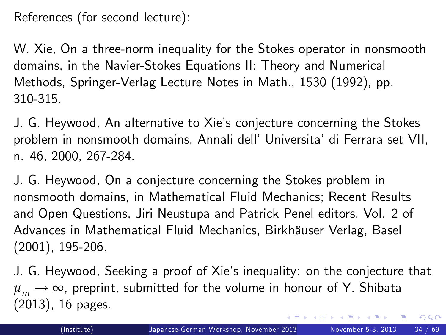References (for second lecture):

W. Xie, On a three-norm inequality for the Stokes operator in nonsmooth domains, in the Navier-Stokes Equations II: Theory and Numerical Methods, Springer-Verlag Lecture Notes in Math., 1530 (1992), pp. 310-315.

J. G. Heywood, An alternative to Xieís conjecture concerning the Stokes problem in nonsmooth domains, Annali dell' Universita' di Ferrara set VII, n. 46, 2000, 267-284.

J. G. Heywood, On a conjecture concerning the Stokes problem in nonsmooth domains, in Mathematical Fluid Mechanics; Recent Results and Open Questions, Jiri Neustupa and Patrick Penel editors, Vol. 2 of Advances in Mathematical Fluid Mechanics, Birkhäuser Verlag, Basel (2001), 195-206.

<span id="page-33-0"></span>J. G. Heywood, Seeking a proof of Xieís inequality: on the conjecture that  $\mu_m \rightarrow \infty$ , preprint, submitted for the volume in honour of Y. Shibata (2013), 16 pages.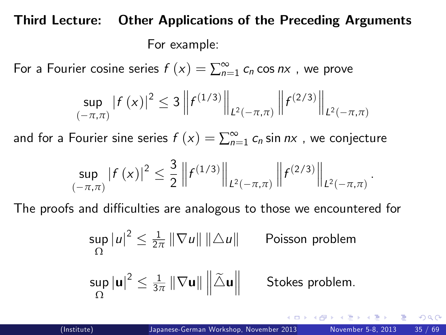## Third Lecture: Other Applications of the Preceding Arguments For example:

For a Fourier cosine series  $f(x) = \sum_{n=1}^{\infty} c_n \cos nx$  , we prove

$$
\sup_{(-\pi,\pi)}|f(x)|^2 \leq 3\left\|f^{(1/3)}\right\|_{L^2(-\pi,\pi)}\left\|f^{(2/3)}\right\|_{L^2(-\pi,\pi)}
$$

and for a Fourier sine series  $f\left(x\right)=\sum_{n=1}^{\infty}c_{n}$  sin  $n$ x , we conjecture

$$
\sup_{(-\pi,\pi)}|f(x)|^2 \leq \frac{3}{2}\left\|f^{(1/3)}\right\|_{L^2(-\pi,\pi)}\left\|f^{(2/3)}\right\|_{L^2(-\pi,\pi)}
$$

The proofs and difficulties are analogous to those we encountered for

$$
\sup_{\Omega} |u|^2 \leq \frac{1}{2\pi} \|\nabla u\| \|\Delta u\|
$$
 Poisson problem

$$
\sup_{\Omega}|\textbf{u}|^2\leq \tfrac{1}{3\pi}\left\|\nabla\textbf{u}\right\|\left\|\widetilde{\triangle}\textbf{u}\right\|~~\text{Stokes problem}.
$$

<span id="page-34-0"></span>.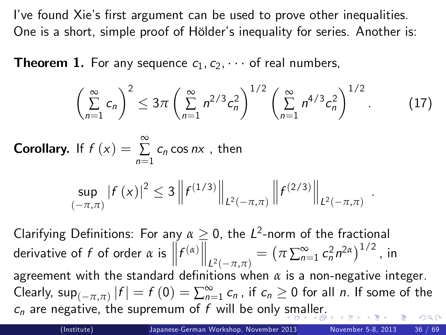I've found Xie's first argument can be used to prove other inequalities. One is a short, simple proof of Hölder's inequality for series. Another is:

**Theorem 1.** For any sequence  $c_1, c_2, \cdots$  of real numbers,

$$
\left(\sum_{n=1}^{\infty} c_n\right)^2 \leq 3\pi \left(\sum_{n=1}^{\infty} n^{2/3} c_n^2\right)^{1/2} \left(\sum_{n=1}^{\infty} n^{4/3} c_n^2\right)^{1/2}.
$$
 (17)

**Corollary.** If  $f(x) = \sum_{n=1}^{\infty}$  $\sum_{n=1} c_n \cos nx$ , then

$$
\sup_{(-\pi,\pi)}|f(x)|^2 \leq 3\left\|f^{(1/3)}\right\|_{L^2(-\pi,\pi)}\left\|f^{(2/3)}\right\|_{L^2(-\pi,\pi)}
$$

Clarifying Definitions: For any  $\alpha \geq 0$ , the L<sup>2</sup>-norm of the fractional derivative of f of order  $\alpha$  is  $\left\| f^{(\alpha)} \right\|_{L^2(-\pi,\pi)}$  $=\left(\pi\sum_{n=1}^{\infty}c_{n}^{2}n^{2\alpha}\right)^{1/2}$  , in agreement with the standard definitions when  $\alpha$  is a non-negative integer. Clearly,  $\sup_{(-\pi,\pi)}|f| = f(0) = \sum_{n=1}^{\infty} c_n$ , if  $c_n \ge 0$  for all *n*. If some of the  $c_n$  are negative, the supremum of f will be only [sm](#page-34-0)[al](#page-36-0)[le](#page-34-0)[r.](#page-35-0)  $QQ$ 

<span id="page-35-1"></span><span id="page-35-0"></span>.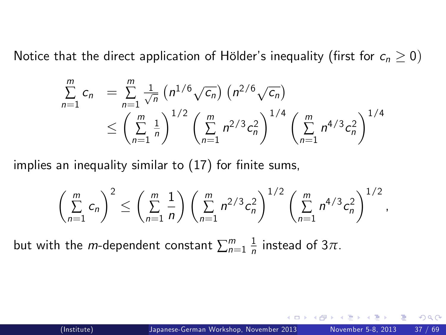Notice that the direct application of Hölder's inequality (first for  $c_n \geq 0$ )

$$
\sum_{n=1}^{m} c_n = \sum_{n=1}^{m} \frac{1}{\sqrt{n}} \left( n^{1/6} \sqrt{c_n} \right) \left( n^{2/6} \sqrt{c_n} \right)
$$
  
 
$$
\leq \left( \sum_{n=1}^{m} \frac{1}{n} \right)^{1/2} \left( \sum_{n=1}^{m} n^{2/3} c_n^2 \right)^{1/4} \left( \sum_{n=1}^{m} n^{4/3} c_n^2 \right)^{1/4}
$$

implies an inequality similar to  $(17)$  for finite sums,

<span id="page-36-0"></span>
$$
\left(\sum_{n=1}^m c_n\right)^2 \leq \left(\sum_{n=1}^m \frac{1}{n}\right) \left(\sum_{n=1}^m n^{2/3} c_n^2\right)^{1/2} \left(\sum_{n=1}^m n^{4/3} c_n^2\right)^{1/2},
$$

but with the *m*-dependent constant  $\sum_{n=1}^m \frac{1}{n}$  $\frac{1}{n}$  instead of 3 $\pi$ .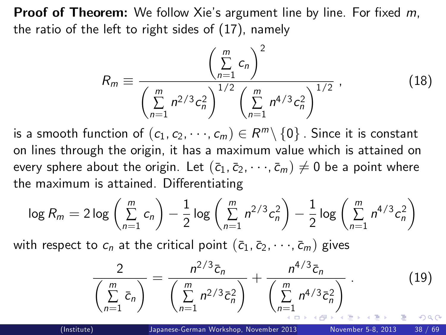**Proof of Theorem:** We follow Xie's argument line by line. For fixed  $m$ , the ratio of the left to right sides of [\(17\)](#page-35-1), namely

$$
R_m \equiv \frac{\left(\sum\limits_{n=1}^m c_n\right)^2}{\left(\sum\limits_{n=1}^m n^{2/3} c_n^2\right)^{1/2} \left(\sum\limits_{n=1}^m n^{4/3} c_n^2\right)^{1/2}} ,\qquad (18)
$$

is a smooth function of  $(c_1, c_2, \dots, c_m) \in R^m \setminus \{0\}$  . Since it is constant on lines through the origin, it has a maximum value which is attained on every sphere about the origin. Let  $(\bar{c}_1, \bar{c}_2, \dots, \bar{c}_m) \neq 0$  be a point where the maximum is attained. Differentiating

$$
\log R_m = 2 \log \left( \sum_{n=1}^m c_n \right) - \frac{1}{2} \log \left( \sum_{n=1}^m n^{2/3} c_n^2 \right) - \frac{1}{2} \log \left( \sum_{n=1}^m n^{4/3} c_n^2 \right)
$$

with respect to  $c_n$  at the critical point  $(\bar{c}_1, \bar{c}_2, \dots, \bar{c}_m)$  gives

<span id="page-37-0"></span>
$$
\frac{2}{\left(\sum_{n=1}^{m} \bar{c}_n\right)} = \frac{n^{2/3} \bar{c}_n}{\left(\sum_{n=1}^{m} n^{2/3} \bar{c}_n^2\right)} + \frac{n^{4/3} \bar{c}_n}{\left(\sum_{n=1}^{m} n^{4/3} \bar{c}_n^2\right)}.
$$
(19)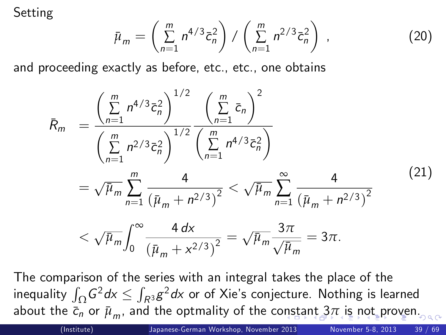Setting

$$
\bar{\mu}_m = \left(\sum_{n=1}^m n^{4/3} \bar{c}_n^2\right) / \left(\sum_{n=1}^m n^{2/3} \bar{c}_n^2\right) ,
$$

and proceeding exactly as before, etc., etc., one obtains

$$
\bar{R}_{m} = \frac{\left(\sum_{n=1}^{m} n^{4/3} \bar{c}_{n}^{2}\right)^{1/2} \left(\sum_{n=1}^{m} \bar{c}_{n}\right)^{2}}{\left(\sum_{n=1}^{m} n^{2/3} \bar{c}_{n}^{2}\right)^{1/2} \left(\sum_{n=1}^{m} n^{4/3} \bar{c}_{n}^{2}\right)}
$$
\n
$$
= \sqrt{\bar{\mu}_{m}} \sum_{n=1}^{m} \frac{4}{\left(\bar{\mu}_{m} + n^{2/3}\right)^{2}} < \sqrt{\bar{\mu}_{m}} \sum_{n=1}^{\infty} \frac{4}{\left(\bar{\mu}_{m} + n^{2/3}\right)^{2}}
$$
\n
$$
< \sqrt{\bar{\mu}_{m}} \int_{0}^{\infty} \frac{4 dx}{\left(\bar{\mu}_{m} + x^{2/3}\right)^{2}} = \sqrt{\bar{\mu}_{m}} \frac{3\pi}{\sqrt{\bar{\mu}_{m}}} = 3\pi.
$$
\n(21)

The comparison of the series with an integral takes the place of the inequality  $\int_{\Omega} G^2 dx \leq \int_{R^3} g^2 dx$  or of Xie's conjecture. Nothing is learned [a](#page-39-0)b[o](#page-37-0)ut the  $\bar{c}_n$  $\bar{c}_n$  $\bar{c}_n$  or  $\bar{\mu}_m$ , and the optmality of the co[ns](#page-37-0)ta[nt](#page-37-0)  $3\pi$  [is](#page-38-0) [n](#page-39-0)o[t p](#page-38-0)r[ov](#page-0-0)[en](#page-68-0).

<span id="page-38-0"></span>, (20)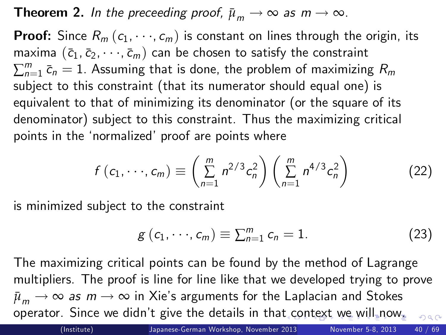**Theorem 2.** In the preceeding proof,  $\bar{\mu}_m \to \infty$  as  $m \to \infty$ .

**Proof:** Since  $R_m$  ( $c_1, \dots, c_m$ ) is constant on lines through the origin, its maxima  $(\bar{c}_1, \bar{c}_2, \dots, \bar{c}_m)$  can be chosen to satisfy the constraint  $\sum_{n=1}^m \bar c_n = 1$ . Assuming that is done, the problem of maximizing  $R_m$ subject to this constraint (that its numerator should equal one) is equivalent to that of minimizing its denominator (or the square of its denominator) subject to this constraint. Thus the maximizing critical points in the 'normalized' proof are points where

$$
f(c_1, \dots, c_m) \equiv \left(\sum_{n=1}^m n^{2/3} c_n^2\right) \left(\sum_{n=1}^m n^{4/3} c_n^2\right) \tag{22}
$$

is minimized subject to the constraint

$$
g(c_1,\dots,c_m)\equiv \sum_{n=1}^m c_n=1. \hspace{1cm} (23)
$$

The maximizing critical points can be found by the method of Lagrange multipliers. The proof is line for line like that we developed trying to prove  $\bar{\mu}_m \rightarrow \infty$  *as m*  $\rightarrow \infty$  in Xie's arguments for the Laplacian and Stokes operator. Since we didn't give the details in tha[t c](#page-38-0)[on](#page-40-0)[t](#page-40-0)[ex](#page-39-0)t [w](#page-38-0)[e](#page-39-0) [w](#page-0-0)[il](#page-38-0)[l n](#page-39-0)[o](#page-40-0)w[.](#page-68-0)  $\Omega$ 

<span id="page-39-0"></span>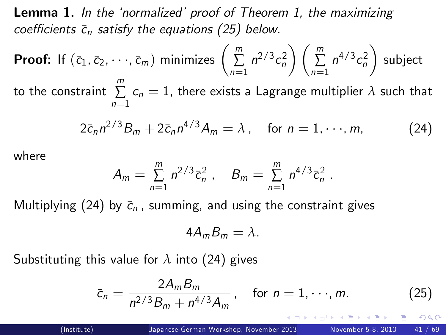**Lemma 1.** In the 'normalized' proof of Theorem 1, the maximizing coefficients  $\bar{c}_n$  satisfy the equations [\(25\)](#page-40-1) below.

**Proof:** If 
$$
(\bar{c}_1, \bar{c}_2, \dots, \bar{c}_m)
$$
 minimizes  $\left(\sum_{n=1}^m n^{2/3} c_n^2\right) \left(\sum_{n=1}^m n^{4/3} c_n^2\right)$  subject to the constraint  $\sum_{n=1}^m c_n = 1$ , there exists a Lagrange multiplier  $\lambda$  such that

$$
2\bar{c}_n n^{2/3}B_m + 2\bar{c}_n n^{4/3}A_m = \lambda, \quad \text{for } n = 1, \cdots, m,
$$
 (24)

where

$$
A_m = \sum_{n=1}^m n^{2/3} \bar{c}_n^2 , \quad B_m = \sum_{n=1}^m n^{4/3} \bar{c}_n^2 .
$$

Multiplying [\(24\)](#page-40-2) by  $\bar{c}_n$ , summing, and using the constraint gives

<span id="page-40-2"></span><span id="page-40-1"></span><span id="page-40-0"></span>
$$
4A_mB_m=\lambda.
$$

Substituting this value for  $\lambda$  into [\(24\)](#page-40-2) gives

$$
\bar{c}_n = \frac{2A_m B_m}{n^{2/3} B_m + n^{4/3} A_m}, \quad \text{for } n = 1, \dots, m. \tag{25}
$$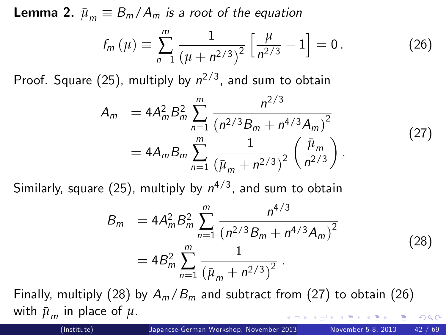**Lemma 2.**  $\bar{\mu}_m \equiv B_m / A_m$  is a root of the equation

<span id="page-41-2"></span>
$$
f_m(\mu) \equiv \sum_{n=1}^m \frac{1}{\left(\mu + n^{2/3}\right)^2} \left[\frac{\mu}{n^{2/3}} - 1\right] = 0. \tag{26}
$$

Proof. Square [\(25\)](#page-40-1), multiply by  $n^{2/3}$ , and sum to obtain

$$
A_m = 4A_m^2 B_m^2 \sum_{n=1}^m \frac{n^{2/3}}{(n^{2/3}B_m + n^{4/3}A_m)^2}
$$
  
=  $4A_m B_m \sum_{n=1}^m \frac{1}{(\bar{\mu}_m + n^{2/3})^2} \left(\frac{\bar{\mu}_m}{n^{2/3}}\right).$  (27)

Similarly, square [\(25\)](#page-40-1), multiply by  $n^{4/3}$ , and sum to obtain

$$
B_m = 4A_m^2 B_m^2 \sum_{n=1}^m \frac{n^{4/3}}{(n^{2/3}B_m + n^{4/3}A_m)^2}
$$
  
= 
$$
4B_m^2 \sum_{n=1}^m \frac{1}{(\bar{\mu}_m + n^{2/3})^2}.
$$
 (28)

Finally, multiply [\(28\)](#page-41-0) by  $A_m/B_m$  and subtract from [\(27\)](#page-41-1) to obtain [\(26\)](#page-41-2) with  $\bar{\mu}_m$  in place of  $\mu$ .

<span id="page-41-1"></span><span id="page-41-0"></span>

つひひ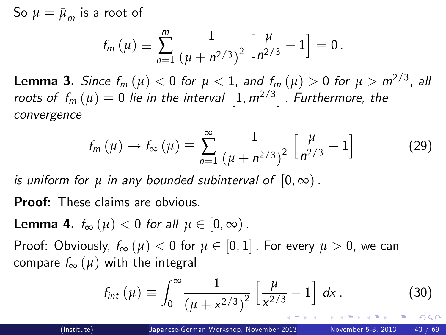So  $\mu = {\bar \mu}_{\mathsf{m}}$  is a root of

$$
f_m(\mu) \equiv \sum_{n=1}^m \frac{1}{(\mu + n^{2/3})^2} \left[ \frac{\mu}{n^{2/3}} - 1 \right] = 0.
$$

 ${\sf Lemma~3.}$  Since  $f_m\left(\mu\right)<0$  for  $\mu<1,$  and  $f_m\left(\mu\right)>0$  for  $\mu>m^{2/3},$  all roots of  $f_m\left(\mu\right)=0$  lie in the interval  $\left[1, m^{2/3}\right]$  . Furthermore, the convergence

$$
f_m(\mu) \to f_{\infty}(\mu) \equiv \sum_{n=1}^{\infty} \frac{1}{(\mu + n^{2/3})^2} \left[ \frac{\mu}{n^{2/3}} - 1 \right]
$$
 (29)

is uniform for  $\mu$  in any bounded subinterval of  $[0, \infty)$ .

Proof: These claims are obvious.

**Lemma 4.**  $f_{\infty}(u) < 0$  for all  $u \in [0, \infty)$ .

Proof: Obviously,  $f_{\infty}(u) < 0$  for  $u \in [0, 1]$ . For every  $u > 0$ , we can compare  $f_{\infty}(\mu)$  with the integral

$$
f_{int}(\mu) \equiv \int_0^\infty \frac{1}{(\mu + x^{2/3})^2} \left[ \frac{\mu}{x^{2/3}} - 1 \right] dx.
$$
 (30)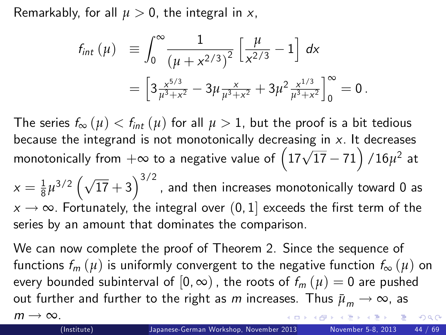Remarkably, for all  $\mu > 0$ , the integral in x,

$$
f_{int} (\mu) \equiv \int_0^\infty \frac{1}{(\mu + x^{2/3})^2} \left[ \frac{\mu}{x^{2/3}} - 1 \right] dx
$$
  
= 
$$
\left[ 3 \frac{x^{5/3}}{\mu^3 + x^2} - 3 \mu \frac{x}{\mu^3 + x^2} + 3 \mu^2 \frac{x^{1/3}}{\mu^3 + x^2} \right]_0^\infty = 0.
$$

The series  $f_{\infty}(\mu) < f_{int}(\mu)$  for all  $\mu > 1$ , but the proof is a bit tedious because the integrand is not monotonically decreasing in  $x$ . It decreases monotonically from  $+\infty$  to a negative value of  $\left(17\sqrt{17}-71\right)/16\mu^2$  at

 $\alpha=\frac{1}{8}\mu^{3/2}\left(\sqrt{17}+3\right)^{3/2}$  , and then increases monotonically toward 0 as  $x \rightarrow \infty$ . Fortunately, the integral over (0, 1] exceeds the first term of the series by an amount that dominates the comparison.

We can now complete the proof of Theorem 2. Since the sequence of functions  $f_m(\mu)$  is uniformly convergent to the negative function  $f_\infty(\mu)$  on every bounded subinterval of  $[0, \infty)$ , the roots of  $f_m(\mu) = 0$  are pushed out further and further to the right as *m* increases. Thus  $\bar{\mu}_m \to \infty$ , as  $m \rightarrow \infty$ .<br>(Institute)  $\Omega$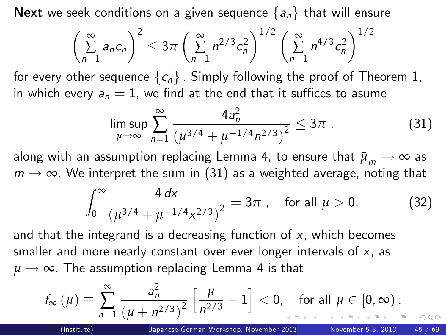Next we seek conditions on a given sequence  $\{a_n\}$  that will ensure

$$
\left(\sum_{n=1}^{\infty} a_n c_n\right)^2 \leq 3\pi \left(\sum_{n=1}^{\infty} n^{2/3} c_n^2\right)^{1/2} \left(\sum_{n=1}^{\infty} n^{4/3} c_n^2\right)^{1/2}
$$

for every other sequence  ${c_n}$ . Simply following the proof of Theorem 1, in which every  $a_n = 1$ , we find at the end that it suffices to asume

$$
\limsup_{\mu \to \infty} \sum_{n=1}^{\infty} \frac{4a_n^2}{\left(\mu^{3/4} + \mu^{-1/4} n^{2/3}\right)^2} \le 3\pi \tag{31}
$$

along with an assumption replacing Lemma 4, to ensure that  $\bar{\mu}_m \rightarrow \infty$  as  $m \rightarrow \infty$ . We interpret the sum in [\(31\)](#page-44-1) as a weighted average, noting that

$$
\int_0^\infty \frac{4 \, dx}{\left(\mu^{3/4} + \mu^{-1/4} x^{2/3}\right)^2} = 3\pi \,, \quad \text{for all } \mu > 0,\tag{32}
$$

<span id="page-44-1"></span><span id="page-44-0"></span> $\Omega$ 

and that the integrand is a decreasing function of  $x$ , which becomes smaller and more nearly constant over ever longer intervals of  $x$ , as  $\mu \rightarrow \infty$ . The assumption replacing Lemma 4 is that

$$
f_{\infty}\left(\mu\right) \equiv \sum_{n=1}^{\infty} \frac{a_n^2}{\left(\mu + n^{2/3}\right)^2} \left[\frac{\mu}{n^{2/3}} - 1\right] < 0, \text{ for all } \mu \in [0, \infty).
$$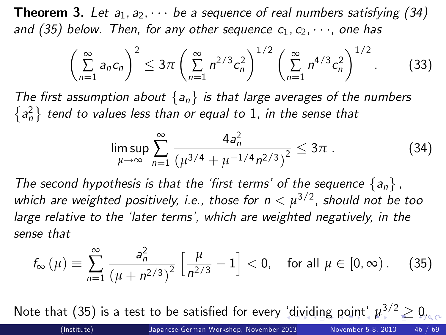**Theorem 3.** Let  $a_1, a_2, \cdots$  be a sequence of real numbers satisfying [\(34\)](#page-45-1) and [\(35\)](#page-45-2) below. Then, for any other sequence  $c_1, c_2, \dots$ , one has

$$
\left(\sum_{n=1}^{\infty} a_n c_n\right)^2 \leq 3\pi \left(\sum_{n=1}^{\infty} n^{2/3} c_n^2\right)^{1/2} \left(\sum_{n=1}^{\infty} n^{4/3} c_n^2\right)^{1/2}.
$$
 (33)

The first assumption about  $\{a_n\}$  is that large averages of the numbers  ${a_n^2}$  tend to values less than or equal to 1, in the sense that

<span id="page-45-2"></span><span id="page-45-1"></span><span id="page-45-0"></span>
$$
\limsup_{\mu \to \infty} \sum_{n=1}^{\infty} \frac{4a_n^2}{\left(\mu^{3/4} + \mu^{-1/4} n^{2/3}\right)^2} \leq 3\pi \ . \tag{34}
$$

The second hypothesis is that the 'first terms' of the sequence  $\{a_n\}$ , which are weighted positively, i.e., those for  $n<\mu^{3/2}$ , should not be too large relative to the 'later terms', which are weighted negatively, in the sense that

$$
f_{\infty}(\mu) \equiv \sum_{n=1}^{\infty} \frac{a_n^2}{(\mu + n^{2/3})^2} \left[ \frac{\mu}{n^{2/3}} - 1 \right] < 0, \text{ for all } \mu \in [0, \infty).
$$
 (35)

Note that [\(35\)](#page-45-2) is a test to be satisfied for every 'di[vi](#page-46-0)[di](#page-44-0)[ng](#page-45-0) [p](#page-44-0)[oi](#page-45-0)[nt](#page-46-0)',  $\mu^{3/2} \geq 0$  $\mu^{3/2} \geq 0$  $\mu^{3/2} \geq 0$  $\mu^{3/2} \geq 0$ .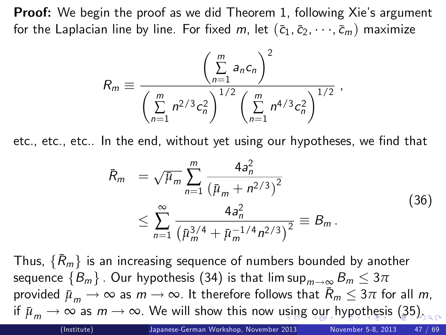**Proof:** We begin the proof as we did Theorem 1, following Xie's argument for the Laplacian line by line. For fixed m, let  $(\bar{c}_1, \bar{c}_2, \dots, \bar{c}_m)$  maximize

$$
R_m \equiv \frac{\left(\sum_{n=1}^m a_n c_n\right)^2}{\left(\sum_{n=1}^m n^{2/3} c_n^2\right)^{1/2} \left(\sum_{n=1}^m n^{4/3} c_n^2\right)^{1/2}} \,,
$$

etc., etc., etc.. In the end, without yet using our hypotheses, we find that

<span id="page-46-0"></span>
$$
\bar{R}_{m} = \sqrt{\bar{\mu}_{m}} \sum_{n=1}^{m} \frac{4a_{n}^{2}}{\left(\bar{\mu}_{m} + n^{2/3}\right)^{2}} \leq \sum_{n=1}^{\infty} \frac{4a_{n}^{2}}{\left(\bar{\mu}_{m}^{3/4} + \bar{\mu}_{m}^{-1/4}n^{2/3}\right)^{2}} \equiv B_{m}.
$$
\n(36)

Thus,  $\{\bar{R}_m\}$  is an increasing sequence of numbers bounded by another sequence  ${B_m}$ . Our hypothesis [\(34\)](#page-45-1) is that lim sup $_{m\to\infty}$   $B_m \leq 3\pi$ provided  $\bar{\mu}_m \to \infty$  as  $m \to \infty$ . It therefore follows that  $\bar{R}_m \leq 3\pi$  for all m, if $\bar{\mu}_m \to \infty$  $\bar{\mu}_m \to \infty$  $\bar{\mu}_m \to \infty$  as  $m \to \infty$ . We will show this now [usin](#page-45-0)[g](#page-47-0) [o](#page-45-0)[ur](#page-46-0) [h](#page-45-0)[yp](#page-46-0)o[th](#page-45-0)[es](#page-46-0)[is](#page-47-0) [\(](#page-0-0)[35\)](#page-45-2).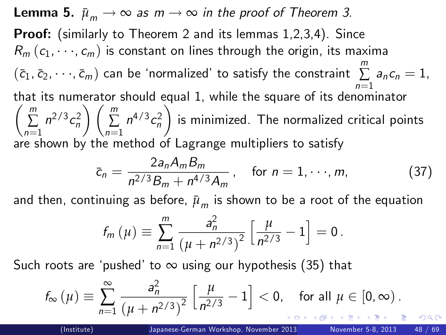**Lemma 5.**  $\bar{\mu}_m \rightarrow \infty$  as  $m \rightarrow \infty$  in the proof of Theorem 3. Proof: (similarly to Theorem 2 and its lemmas 1,2,3,4). Since  $R_m$   $(c_1, \dots, c_m)$  is constant on lines through the origin, its maxima  $(\bar{c}_1, \bar{c}_2, \cdots, \bar{c}_m)$  can be 'normalized' to satisfy the constraint  $\sum\limits_{n=1}^m$  $\sum$  a<sub>n</sub>c<sub>n</sub> = 1, that its numerator should equal 1, while the square of its denom that its numerator should equal 1, while the square of its denominator<br> $\begin{pmatrix} m & 2/3 & 2 \end{pmatrix}$   $\begin{pmatrix} m & 4/3 & 2 \end{pmatrix}$  $\sum_{n=1}$  $n^{2/3}c_n^2$  $\left\langle \right\rangle / \left\langle \frac{m}{2} \right\rangle$  $\sum_{n=1}$  $n^{4/3}c_n^2$ /. is minimized. The normalized critical points are shown by the method of Lagrange multipliers to satisfy

$$
\bar{c}_n = \frac{2a_n A_m B_m}{n^{2/3} B_m + n^{4/3} A_m}, \quad \text{for } n = 1, \dots, m,
$$
 (37)

and then, continuing as before,  ${\bar \mu}_m$  is shown to be a root of the equation

<span id="page-47-0"></span>
$$
f_m(\mu) \equiv \sum_{n=1}^m \frac{a_n^2}{(\mu + n^{2/3})^2} \left[ \frac{\mu}{n^{2/3}} - 1 \right] = 0.
$$

Such roots are 'pushed' to  $\infty$  using our hypothesis [\(35\)](#page-45-2) that

$$
f_{\infty}\left(\mu\right) \equiv \sum_{n=1}^{\infty} \frac{a_n^2}{\left(\mu + n^{2/3}\right)^2} \left[\frac{\mu}{n^{2/3}} - 1\right] < 0, \quad \text{for all } \mu \in [0, \infty).
$$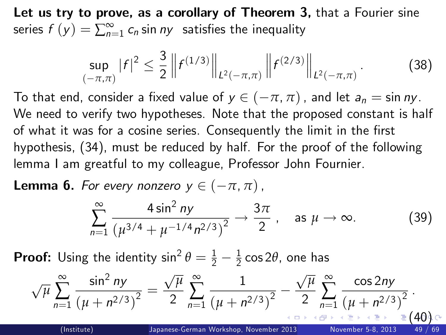Let us try to prove, as a corollary of Theorem 3, that a Fourier sine series  $f(y) = \sum_{n=1}^{\infty} c_n$  sin  $ny$  satisfies the inequality

<span id="page-48-2"></span>
$$
\sup_{(-\pi,\pi)}|f|^2 \leq \frac{3}{2}\left\|f^{(1/3)}\right\|_{L^2(-\pi,\pi)}\left\|f^{(2/3)}\right\|_{L^2(-\pi,\pi)}.\tag{38}
$$

To that end, consider a fixed value of  $y \in (-\pi, \pi)$ , and let  $a_n = \sin ny$ . We need to verify two hypotheses. Note that the proposed constant is half of what it was for a cosine series. Consequently the limit in the first hypothesis, [\(34\)](#page-45-1), must be reduced by half. For the proof of the following lemma I am greatful to my colleague, Professor John Fournier.

**Lemma 6.** For every nonzero  $y \in (-\pi, \pi)$ ,

<span id="page-48-1"></span><span id="page-48-0"></span>
$$
\sum_{n=1}^{\infty} \frac{4 \sin^2 ny}{\left(\mu^{3/4} + \mu^{-1/4} n^{2/3}\right)^2} \to \frac{3\pi}{2}, \quad \text{as } \mu \to \infty.
$$
 (39)

**Proof:** Using the identity  $\sin^2 \theta = \frac{1}{2} - \frac{1}{2} \cos 2\theta$ , one has

$$
\sqrt{\mu}\sum_{n=1}^{\infty}\frac{\sin^2 ny}{(\mu+n^{2/3})^2}=\frac{\sqrt{\mu}}{2}\sum_{n=1}^{\infty}\frac{1}{(\mu+n^{2/3})^2}-\frac{\sqrt{\mu}}{2}\sum_{n=1}^{\infty}\frac{\cos 2ny}{(\mu+n^{2/3})^2}.
$$
\n(Institute)

\nJapanese-German Workshop, November 2013

\nNovember 5-8, 2013

\n49 / 69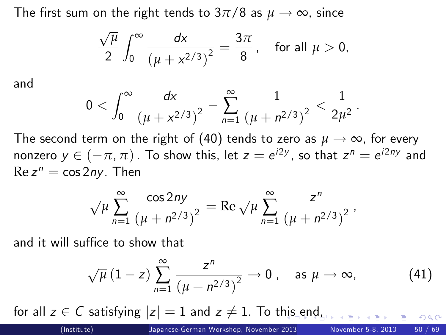The first sum on the right tends to  $3\pi/8$  as  $\mu \to \infty$ , since

$$
\frac{\sqrt{\mu}}{2}\int_0^\infty \frac{dx}{\left(\mu+x^{2/3}\right)^2}=\frac{3\pi}{8},\quad \text{for all }\mu>0,
$$

and

$$
0<\int_0^\infty \frac{dx}{\left(\mu+x^{2/3}\right)^2}-\sum_{n=1}^\infty \frac{1}{\left(\mu+n^{2/3}\right)^2}<\frac{1}{2\mu^2}\,.
$$

The second term on the right of [\(40\)](#page-48-1) tends to zero as  $\mu \to \infty$ , for every nonzero  $y \in (-\pi, \pi)$  . To show this, let  $z = e^{i2y}$ , so that  $z^n = e^{i2ny}$  and  $\text{Re } z^n = \cos 2ny$ . Then

$$
\sqrt{\mu} \sum_{n=1}^{\infty} \frac{\cos 2ny}{(\mu + n^{2/3})^2} = \text{Re } \sqrt{\mu} \sum_{n=1}^{\infty} \frac{z^n}{(\mu + n^{2/3})^2},
$$

and it will suffice to show that

<span id="page-49-0"></span>
$$
\sqrt{\mu}\left(1-z\right)\sum_{n=1}^{\infty}\frac{z^n}{\left(\mu+n^{2/3}\right)^2}\to 0\ ,\quad \text{as }\mu\to\infty,\tag{41}
$$

for all  $z \in C$  satisfying  $|z| = 1$  an[d](#page-48-0)  $z \neq 1$ . To t[his](#page-48-0) [en](#page-50-0)d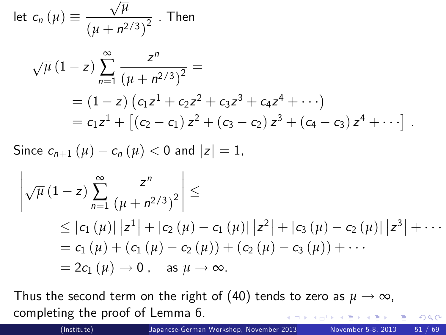let 
$$
c_n(\mu) \equiv \frac{\sqrt{\mu}}{(\mu + n^{2/3})^2}
$$
. Then

$$
\sqrt{\mu} (1-z) \sum_{n=1}^{\infty} \frac{z^n}{(\mu + n^{2/3})^2} =
$$
  
= (1-z) (c<sub>1</sub>z<sup>1</sup> + c<sub>2</sub>z<sup>2</sup> + c<sub>3</sub>z<sup>3</sup> + c<sub>4</sub>z<sup>4</sup> + ...)  
= c<sub>1</sub>z<sup>1</sup> + [(c<sub>2</sub> - c<sub>1</sub>) z<sup>2</sup> + (c<sub>3</sub> - c<sub>2</sub>) z<sup>3</sup> + (c<sub>4</sub> - c<sub>3</sub>) z<sup>4</sup> + ...].

Since  $c_{n+1} (\mu) - c_n (\mu) < 0$  and  $|z| = 1$ ,

$$
\left| \sqrt{\mu} (1-z) \sum_{n=1}^{\infty} \frac{z^n}{(\mu + n^{2/3})^2} \right| \le
$$
  
\n
$$
\leq |c_1 (\mu)| |z^1| + |c_2 (\mu) - c_1 (\mu)| |z^2| + |c_3 (\mu) - c_2 (\mu)| |z^3| + \cdots
$$
  
\n
$$
= c_1 (\mu) + (c_1 (\mu) - c_2 (\mu)) + (c_2 (\mu) - c_3 (\mu)) + \cdots
$$
  
\n
$$
= 2c_1 (\mu) \rightarrow 0, \text{ as } \mu \rightarrow \infty.
$$

Thus the second term on the right of [\(40\)](#page-48-1) tends to zero as  $\mu \to \infty$ , completing the proof of Lemma 6.

<span id="page-50-0"></span>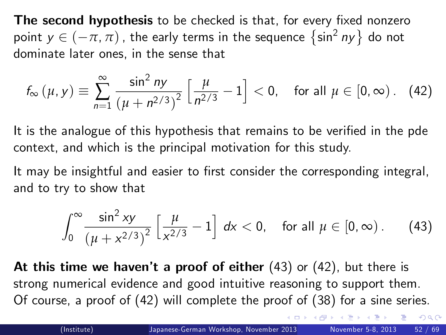The second hypothesis to be checked is that, for every fixed nonzero point  $y \in (-\pi, \pi)$ , the early terms in the sequence  $\{\sin^2 ny\}$  do not dominate later ones, in the sense that

$$
f_{\infty}(\mu, y) \equiv \sum_{n=1}^{\infty} \frac{\sin^2 ny}{(\mu + n^{2/3})^2} \left[ \frac{\mu}{n^{2/3}} - 1 \right] < 0, \text{ for all } \mu \in [0, \infty). \quad (42)
$$

It is the analogue of this hypothesis that remains to be verified in the pde context, and which is the principal motivation for this study.

It may be insightful and easier to first consider the corresponding integral, and to try to show that

<span id="page-51-2"></span><span id="page-51-1"></span><span id="page-51-0"></span>
$$
\int_0^\infty \frac{\sin^2 xy}{\left(\mu + x^{2/3}\right)^2} \left[\frac{\mu}{x^{2/3}} - 1\right] \, dx < 0, \quad \text{for all } \mu \in [0, \infty). \tag{43}
$$

At this time we haven't a proof of either  $(43)$  or  $(42)$ , but there is strong numerical evidence and good intuitive reasoning to support them. Of course, a proof of [\(42\)](#page-51-1) will complete the proof of [\(38\)](#page-48-2) for a sine series.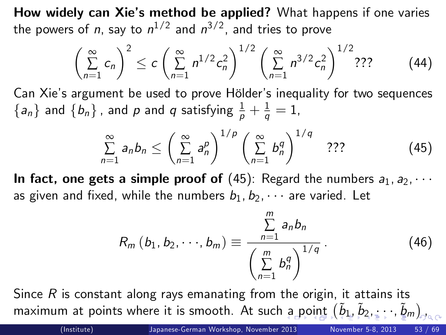How widely can Xie's method be applied? What happens if one varies the powers of n, say to  $n^{1/2}$  and  $n^{3/2}$ , and tries to prove

$$
\left(\sum_{n=1}^{\infty} c_n\right)^2 \le c \left(\sum_{n=1}^{\infty} n^{1/2} c_n^2\right)^{1/2} \left(\sum_{n=1}^{\infty} n^{3/2} c_n^2\right)^{1/2} ? ? ? \tag{44}
$$

Can Xie's argument be used to prove Hölder's inequality for two sequences  $\{a_n\}$  and  $\{b_n\}$ , and  $p$  and  $q$  satisfying  $\frac{1}{p} + \frac{1}{q} = 1$ ,

$$
\sum_{n=1}^{\infty} a_n b_n \leq \left(\sum_{n=1}^{\infty} a_n^p\right)^{1/p} \left(\sum_{n=1}^{\infty} b_n^q\right)^{1/q} \quad ??" \tag{45}
$$

In fact, one gets a simple proof of [\(45\)](#page-52-1): Regard the numbers  $a_1, a_2, \cdots$ as given and fixed, while the numbers  $b_1, b_2, \cdots$  are varied. Let

<span id="page-52-1"></span><span id="page-52-0"></span>
$$
R_m (b_1, b_2, \dots, b_m) \equiv \frac{\sum_{n=1}^{m} a_n b_n}{\left(\sum_{n=1}^{m} b_n^q\right)^{1/q}}.
$$
 (46)

Since  $R$  is constant along rays emanating from the origin, it attains its maximum [a](#page-51-2)t [po](#page-53-0)[i](#page-51-2)[nt](#page-52-0)swhere it is s[m](#page-68-0)ooth. At such a point  $(\tilde b_1,\tilde b_2,\ldots,\tilde \ell_m)_{\!\scriptscriptstyle\mathcal{S}}$  $(\tilde b_1,\tilde b_2,\ldots,\tilde \ell_m)_{\!\scriptscriptstyle\mathcal{S}}$  $(\tilde b_1,\tilde b_2,\ldots,\tilde \ell_m)_{\!\scriptscriptstyle\mathcal{S}}$  $(\tilde b_1,\tilde b_2,\ldots,\tilde \ell_m)_{\!\scriptscriptstyle\mathcal{S}}$  $(\tilde b_1,\tilde b_2,\ldots,\tilde \ell_m)_{\!\scriptscriptstyle\mathcal{S}}$  $(\tilde b_1,\tilde b_2,\ldots,\tilde \ell_m)_{\!\scriptscriptstyle\mathcal{S}}$  $(\tilde b_1,\tilde b_2,\ldots,\tilde \ell_m)_{\!\scriptscriptstyle\mathcal{S}}$  $(\tilde b_1,\tilde b_2,\ldots,\tilde \ell_m)_{\!\scriptscriptstyle\mathcal{S}}$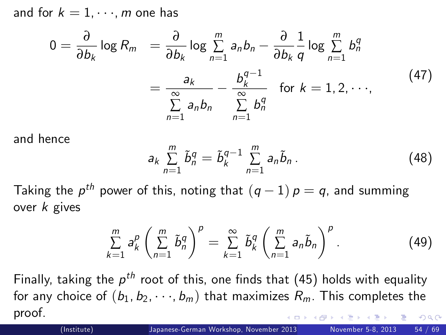and for  $k = 1, \dots, m$  one has

$$
0 = \frac{\partial}{\partial b_k} \log R_m = \frac{\partial}{\partial b_k} \log \sum_{n=1}^m a_n b_n - \frac{\partial}{\partial b_k} \frac{1}{q} \log \sum_{n=1}^m b_n^q
$$
  

$$
= \frac{a_k}{\sum_{n=1}^\infty a_n b_n} - \frac{b_k^{q-1}}{\sum_{n=1}^\infty b_n^q} \text{ for } k = 1, 2, \cdots,
$$
 (47)

and hence

<span id="page-53-0"></span>
$$
a_k \sum_{n=1}^m \tilde{b}_n^q = \tilde{b}_k^{q-1} \sum_{n=1}^m a_n \tilde{b}_n.
$$
 (48)

Taking the  $p^{th}$  power of this, noting that  $(q-1)$   $p = q$ , and summing over k gives

$$
\sum_{k=1}^m a_k^p \left(\sum_{n=1}^m \tilde{b}_n^q\right)^p = \sum_{k=1}^\infty \tilde{b}_k^q \left(\sum_{n=1}^m a_n \tilde{b}_n\right)^p.
$$
 (49)

Finally, taking the  $\rho^{th}$  root of this, one finds that [\(45\)](#page-52-1) holds with equality for any choice of  $(b_1, b_2, \dots, b_m)$  that maximizes  $R_m$ . This completes the proof.  $\Omega$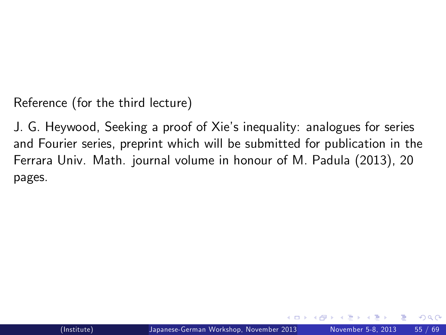Reference (for the third lecture)

<span id="page-54-0"></span>J. G. Heywood, Seeking a proof of Xieís inequality: analogues for series and Fourier series, preprint which will be submitted for publication in the Ferrara Univ. Math. journal volume in honour of M. Padula (2013), 20 pages.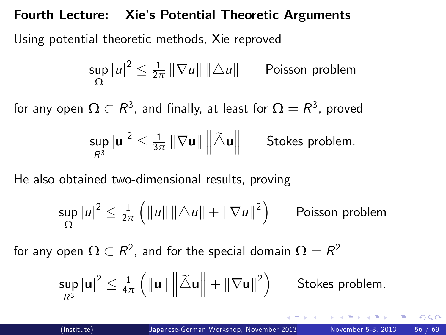#### Fourth Lecture: Xie's Potential Theoretic Arguments

Using potential theoretic methods, Xie reproved

$$
\sup_{\Omega} |u|^2 \leq \frac{1}{2\pi} ||\nabla u|| ||\Delta u||
$$
 Poisson problem

for any open  $\Omega\subset R^3$ , and finally, at least for  $\Omega=R^3$ , proved

$$
\sup_{R^3} \left| \mathbf{u} \right|^2 \leq \tfrac{1}{3\pi} \left\| \nabla \mathbf{u} \right\| \left\| \widetilde{\triangle} \mathbf{u} \right\| \qquad \text{Stokes problem}.
$$

He also obtained two-dimensional results, proving

$$
\sup_{\Omega} |u|^2 \leq \frac{1}{2\pi} \left( ||u|| ||\triangle u|| + ||\nabla u||^2 \right)
$$
 Poisson problem

for any open  $\Omega\subset{\mathsf R}^2$ , and for the special domain  $\Omega={\mathsf R}^2$ 

<span id="page-55-0"></span>
$$
\sup_{R^3} |\mathbf{u}|^2 \leq \tfrac{1}{4\pi} \left( \|\mathbf{u}\| \left\| \widetilde{\triangle} \mathbf{u} \right\| + \|\nabla \mathbf{u}\|^2 \right) \qquad \text{Stokes problem.}
$$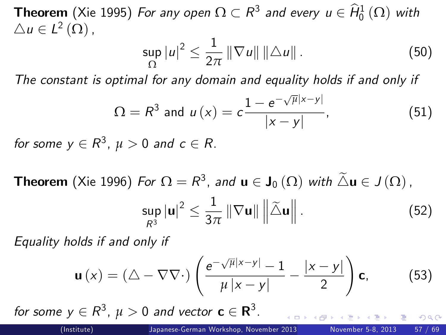**Theorem** (Xie 1995) For any open  $\Omega \subset R^3$  and every  $u \in \widehat{H}^1_0(\Omega)$  with  $\triangle u \in L^2(\Omega)$ ,

<span id="page-56-2"></span><span id="page-56-1"></span>
$$
\sup_{\Omega} |u|^2 \leq \frac{1}{2\pi} \|\nabla u\| \|\Delta u\| \,.
$$
 (50)

The constant is optimal for any domain and equality holds if and only if

$$
\Omega = R^3 \text{ and } u(x) = c \frac{1 - e^{-\sqrt{\mu}|x - y|}}{|x - y|}, \tag{51}
$$

for some  $y \in R^3$ ,  $\mu > 0$  and  $c \in R$ .

**Theorem** (Xie 1996) For  $\Omega = R^3$ , and  $\mathbf{u} \in \mathbf{J}_0(\Omega)$  with  $\Delta \mathbf{u} \in J(\Omega)$ ,

<span id="page-56-4"></span><span id="page-56-3"></span><span id="page-56-0"></span>
$$
\sup_{R^3} |\mathbf{u}|^2 \leq \frac{1}{3\pi} \|\nabla \mathbf{u}\| \left\|\tilde{\triangle} \mathbf{u}\right\|.
$$
 (52)

Equality holds if and only if

$$
\mathbf{u}\left(x\right) = \left(\triangle - \nabla\nabla\cdot\right) \left(\frac{e^{-\sqrt{\mu}|x-y|} - 1}{\mu|x-y|} - \frac{|x-y|}{2}\right) \mathbf{c},\tag{53}
$$

for some  $y \in R^3$ ,  $\mu > 0$  and vector  $c \in R^3$ .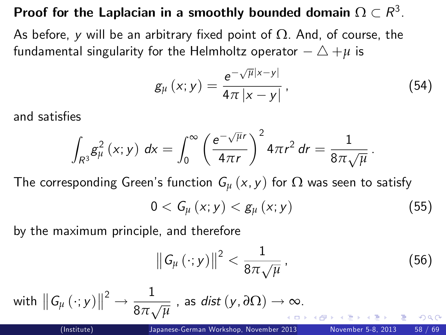# Proof for the Laplacian in a smoothly bounded domain  $\Omega \subset R^3.$

As before, y will be an arbitrary fixed point of  $\Omega$ . And, of course, the fundamental singularity for the Helmholtz operator  $-\triangle +\mu$  is

$$
g_{\mu}\left(x;y\right)=\frac{e^{-\sqrt{\mu}|x-y|}}{4\pi|x-y|},\qquad(54)
$$

and satisfies

$$
\int_{R^3} g_\mu^2(x;y) \ dx = \int_0^\infty \left(\frac{e^{-\sqrt{\mu}r}}{4\pi r}\right)^2 4\pi r^2 dr = \frac{1}{8\pi \sqrt{\mu}}.
$$

The corresponding Green's function  $G_{\mu}(x, y)$  for  $\Omega$  was seen to satisfy

$$
0 < G_{\mu}\left(x; y\right) < g_{\mu}\left(x; y\right) \tag{55}
$$

by the maximum principle, and therefore

<span id="page-57-1"></span><span id="page-57-0"></span>
$$
\left\|G_{\mu}\left(\cdot;y\right)\right\|^2 < \frac{1}{8\pi\sqrt{\mu}}\,,\tag{56}
$$

with 
$$
||G_{\mu}(\cdot; y)||^2 \to \frac{1}{8\pi\sqrt{\mu}}
$$
, as  $dist(y, \partial\Omega) \to \infty$ .  
\n $limstitute$   
\n $limpose-German Workshop, November 2013$   
\n $Nowember 5-8, 2013$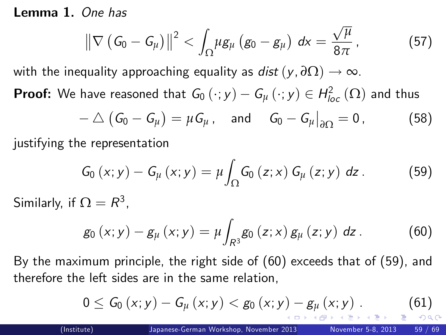Lemma 1. One has

<span id="page-58-5"></span>
$$
\left\|\nabla \left(G_0-G_\mu\right)\right\|^2 < \int_{\Omega} \mu g_\mu \left(g_0-g_\mu\right) dx = \frac{\sqrt{\mu}}{8\pi} \,, \tag{57}
$$

with the inequality approaching equality as dist  $(y, \partial \Omega) \rightarrow \infty$ .

**Proof:** We have reasoned that  $G_0(\cdot; y) - G_\mu(\cdot; y) \in H^2_{loc}(\Omega)$  and thus

$$
-\bigtriangleup (G_0-G_\mu)=\mu G_\mu\,,\quad\text{and}\quad G_0-G_\mu\big|_{\partial\Omega}=0\,,\qquad\qquad(58)
$$

justifying the representation

<span id="page-58-3"></span><span id="page-58-2"></span>
$$
G_{0}(x; y) - G_{\mu}(x; y) = \mu \int_{\Omega} G_{0}(z; x) G_{\mu}(z; y) dz.
$$
 (59)

Similarly, if  $\Omega=R^3$ ,

<span id="page-58-1"></span>
$$
g_0(x; y) - g_{\mu}(x; y) = \mu \int_{R^3} g_0(z; x) g_{\mu}(z; y) dz.
$$
 (60)

By the maximum principle, the right side of [\(60\)](#page-58-1) exceeds that of [\(59\)](#page-58-2), and therefore the left sides are in the same relation,

<span id="page-58-4"></span><span id="page-58-0"></span>
$$
0 \leq G_0(x; y) - G_{\mu}(x; y) < g_0(x; y) - g_{\mu}(x; y) \tag{61}
$$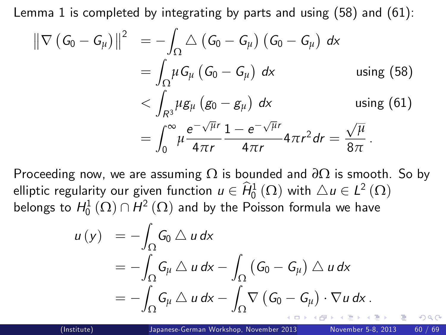Lemma 1 is completed by integrating by parts and using  $(58)$  and  $(61)$ :

$$
\|\nabla (G_0 - G_\mu)\|^2 = -\int_{\Omega} \triangle (G_0 - G_\mu) (G_0 - G_\mu) dx
$$
  
\n
$$
= \int_{\Omega} \mu G_\mu (G_0 - G_\mu) dx \qquad \text{using (58)}
$$
  
\n
$$
< \int_{R^3} \mu g_\mu (g_0 - g_\mu) dx \qquad \text{using (61)}
$$
  
\n
$$
= \int_0^\infty \mu \frac{e^{-\sqrt{\mu}r}}{4\pi r} \frac{1 - e^{-\sqrt{\mu}r}}{4\pi r} 4\pi r^2 dr = \frac{\sqrt{\mu}}{8\pi}.
$$

Proceeding now, we are assuming Ω is bounded and *∂*Ω is smooth. So by elliptic regularity our given function  $u \in \widehat{H}^{1}_{0}(\Omega)$  with  $\triangle u \in L^{2}(\Omega)$ belongs to  $H_0^1(\Omega) \cap H^2(\Omega)$  and by the Poisson formula we have

<span id="page-59-0"></span>
$$
u(y) = -\int_{\Omega} G_0 \triangle u dx
$$
  
=  $-\int_{\Omega} G_{\mu} \triangle u dx - \int_{\Omega} (G_0 - G_{\mu}) \triangle u dx$   
=  $-\int_{\Omega} G_{\mu} \triangle u dx - \int_{\Omega} \nabla (G_0 - G_{\mu}) \cdot \nabla u dx$ .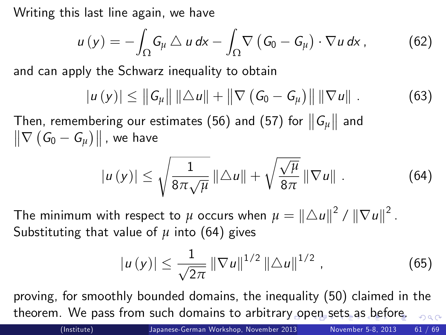Writing this last line again, we have

$$
u(y) = -\int_{\Omega} G_{\mu} \triangle u dx - \int_{\Omega} \nabla (G_0 - G_{\mu}) \cdot \nabla u dx, \qquad (62)
$$

and can apply the Schwarz inequality to obtain

<span id="page-60-3"></span>
$$
|u(y)| \le ||G_{\mu}|| ||\Delta u|| + ||\nabla (G_0 - G_{\mu})|| ||\nabla u||. \qquad (63)
$$

Then, remembering our estimates [\(56\)](#page-57-1) and [\(57\)](#page-58-5) for  $||G_\mu||$  and  $\left\Vert \nabla\left( G_{0}-G_{\mu}\right) \right\Vert$  , we have

$$
|u(y)| \leq \sqrt{\frac{1}{8\pi\sqrt{\mu}}} ||\triangle u|| + \sqrt{\frac{\sqrt{\mu}}{8\pi}} ||\nabla u||. \qquad (64)
$$

The minimum with respect to  $\mu$  occurs when  $\mu = \|\triangle u\|^2 / \|\nabla u\|^2$ . Substituting that value of  $\mu$  into [\(64\)](#page-60-1) gives

<span id="page-60-2"></span><span id="page-60-1"></span><span id="page-60-0"></span>
$$
|u(y)| \leq \frac{1}{\sqrt{2\pi}} ||\nabla u||^{1/2} ||\Delta u||^{1/2}, \qquad (65)
$$

proving, for smoothly bounded domains, the inequality [\(50\)](#page-56-1) claimed in the theorem. We pass from such domains to arbitra[ry](#page-59-0) [op](#page-61-0)[e](#page-59-0)[n](#page-60-0) [se](#page-61-0)[t](#page-59-0)[s](#page-60-0) [as](#page-61-0)[b](#page-55-0)[ef](#page-68-0)[ore](#page-0-0)[.](#page-68-0)  $2990$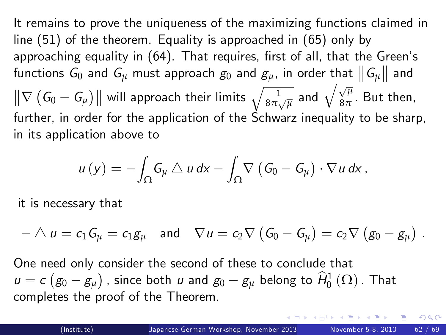It remains to prove the uniqueness of the maximizing functions claimed in line [\(51\)](#page-56-2) of the theorem. Equality is approached in [\(65\)](#page-60-2) only by approaching equality in [\(64\)](#page-60-1). That requires, first of all, that the Green's functions  $G_0$  and  $G_\mu$  must approach  $g_0$  and  $g_\mu$ , in order that  $\big\| \textit{G}_{\mu} \big\|$  and  $\left\|\nabla\left(G_0 - G_\mu\right)\right\|$  will approach their limits  $\sqrt{\frac{1}{8\pi\sqrt{\mu}}}$  and  $\sqrt{\frac{\sqrt{\mu}}{8\pi}}.$  But then, further, in order for the application of the Schwarz inequality to be sharp, in its application above to

$$
u(y) = -\int_{\Omega} G_{\mu} \triangle u dx - \int_{\Omega} \nabla \left( G_0 - G_{\mu} \right) \cdot \nabla u dx,
$$

it is necessary that

$$
-\bigtriangleup u=c_1\,G_{\mu}=c_1g_{\mu}\quad\text{and}\quad\nabla u=c_2\nabla\left(\,G_0-G_{\mu}\right)=c_2\nabla\left(\,g_0-g_{\mu}\right)\,.
$$

One need only consider the second of these to conclude that  $u = c \left( g_0 - g_\mu \right)$  , since both  $u$  and  $g_0 - g_\mu$  belong to  $\widehat{H}^1_0\left( \Omega \right)$  . That completes the proof of the Theorem.

<span id="page-61-0"></span>つひひ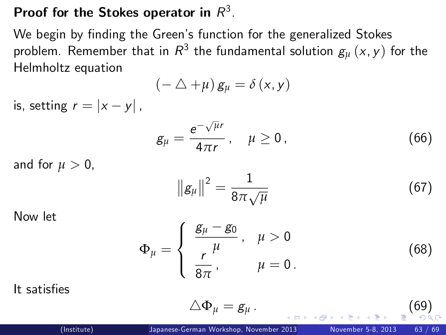### Proof for the Stokes operator in  $R^3$ .

We begin by finding the Green's function for the generalized Stokes problem. Remember that in  $\mathcal{R}^3$  the fundamental solution  $\bm{g}_{\mu}\left(\mathsf{x},\mathsf{y}\right)$  for the Helmholtz equation

$$
(-\triangle + \mu) g_{\mu} = \delta(x, y)
$$

is, setting  $r = |x - y|$ ,

$$
g_{\mu} = \frac{e^{-\sqrt{\mu}r}}{4\pi r}, \quad \mu \ge 0,
$$
 (66)

and for  $\mu > 0$ ,

<span id="page-62-4"></span><span id="page-62-2"></span>
$$
\|\mathbf{g}_{\mu}\|^2 = \frac{1}{8\pi\sqrt{\mu}}\tag{67}
$$

Now let

$$
\Phi_{\mu} = \begin{cases} \frac{g_{\mu} - g_0}{\mu}, & \mu > 0 \\ \frac{r}{8\pi}, & \mu = 0. \end{cases}
$$
 (68)

It satisfies

<span id="page-62-3"></span><span id="page-62-1"></span><span id="page-62-0"></span>
$$
\triangle \Phi_{\mu} = g_{\mu} \,. \tag{69}
$$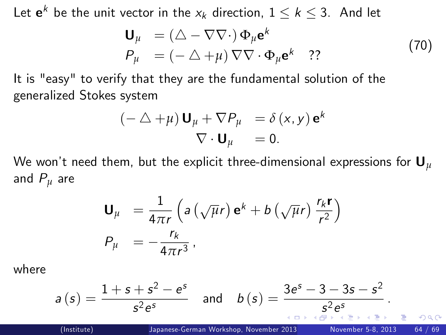Let  $e^k$  be the unit vector in the  $x_k$  direction,  $1 \leq k \leq 3$ . And let

<span id="page-63-1"></span>
$$
\mathbf{U}_{\mu} = (\triangle - \nabla \nabla \cdot) \Phi_{\mu} \mathbf{e}^{k}
$$
  
\n
$$
P_{\mu} = (- \triangle + \mu) \nabla \nabla \cdot \Phi_{\mu} \mathbf{e}^{k} \quad ?? \tag{70}
$$

It is "easy" to verify that they are the fundamental solution of the generalized Stokes system

$$
(- \triangle + \mu) \mathbf{U}_{\mu} + \nabla P_{\mu} = \delta(x, y) \mathbf{e}^{k}
$$
  

$$
\nabla \cdot \mathbf{U}_{\mu} = 0.
$$

We won't need them, but the explicit three-dimensional expressions for  $U_u$ and P*<sup>µ</sup>* are

<span id="page-63-0"></span>
$$
\mathbf{U}_{\mu} = \frac{1}{4\pi r} \left( a \left( \sqrt{\mu} r \right) \mathbf{e}^{k} + b \left( \sqrt{\mu} r \right) \frac{r_{k} \mathbf{r}}{r^{2}} \right)
$$

$$
P_{\mu} = -\frac{r_{k}}{4\pi r^{3}},
$$

where

$$
a(s) = \frac{1+s+s^2-e^s}{s^2e^s} \quad \text{and} \quad b(s) = \frac{3e^s-3-3s-s^2}{s^2e^s}.
$$
  
\n(Institute)  
\n
$$
\frac{\text{Japanese-German Workshop, November 2013}}{\text{Japanese-German Workshop, November 2013}} \text{November 5-8, 2013} \quad \text{November 5-8, 2013} \quad 64/69
$$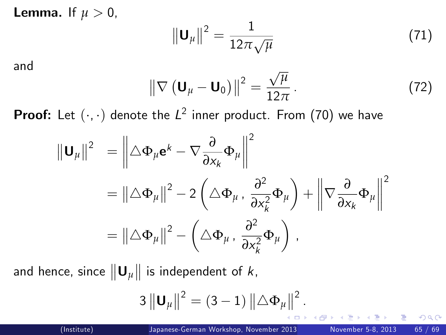**Lemma.** If  $\mu > 0$ ,

<span id="page-64-2"></span><span id="page-64-1"></span>
$$
\left\|\mathbf{U}_{\mu}\right\|^{2}=\frac{1}{12\pi\sqrt{\mu}}\tag{71}
$$

and

$$
\left\|\nabla\left(\mathbf{U}_{\mu}-\mathbf{U}_{0}\right)\right\|^{2}=\frac{\sqrt{\mu}}{12\pi}.
$$
 (72)

**Proof:** Let  $(\cdot, \cdot)$  denote the  $L^2$  inner product. From  $(70)$  we have

$$
\|\mathbf{U}_{\mu}\|^2 = \left\|\Delta\Phi_{\mu}\mathbf{e}^k - \nabla\frac{\partial}{\partial x_k}\Phi_{\mu}\right\|^2
$$
  
=  $\|\Delta\Phi_{\mu}\|^2 - 2\left(\Delta\Phi_{\mu}, \frac{\partial^2}{\partial x_k^2}\Phi_{\mu}\right) + \left\|\nabla\frac{\partial}{\partial x_k}\Phi_{\mu}\right\|^2$   
=  $\|\Delta\Phi_{\mu}\|^2 - \left(\Delta\Phi_{\mu}, \frac{\partial^2}{\partial x_k^2}\Phi_{\mu}\right)$ ,

and hence, since  $\left\| \mathbf{U}_{\mu} \right\|$  is independent of  $k$ ,

<span id="page-64-0"></span>
$$
3\left\Vert \mathbf{U}_{\mu}\right\Vert ^{2}=\left( 3-1\right) \left\Vert \bigtriangleup \Phi_{\mu}\right\Vert ^{2}.
$$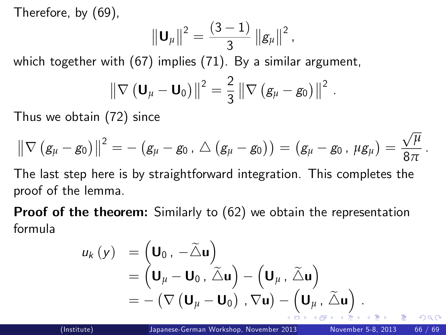Therefore, by [\(69\)](#page-62-1),

$$
\|\mathbf{U}_{\mu}\|^2 = \frac{(3-1)}{3} \left\|g_{\mu}\right\|^2,
$$

which together with [\(67\)](#page-62-2) implies [\(71\)](#page-64-1). By a similar argument,

$$
\left\|\nabla\left(\mathbf{U}_{\mu}-\mathbf{U}_{0}\right)\right\|^{2}=\frac{2}{3}\left\|\nabla\left(\mathbf{g}_{\mu}-\mathbf{g}_{0}\right)\right\|^{2}
$$

Thus we obtain [\(72\)](#page-64-2) since

$$
\left\| \nabla \left( g_\mu - g_0 \right) \right\|^2 = - \left( g_\mu - g_0 \,, \, \triangle \left( g_\mu - g_0 \right) \right) = \left( g_\mu - g_0 \,, \, \mu g_\mu \right) = \frac{\sqrt{\mu}}{8 \pi}
$$

The last step here is by straightforward integration. This completes the proof of the lemma.

**Proof of the theorem:** Similarly to [\(62\)](#page-60-3) we obtain the representation formula

$$
u_{k}(y) = (\mathbf{U}_{0}, -\widetilde{\Delta} \mathbf{u})
$$
  
=  $(\mathbf{U}_{\mu} - \mathbf{U}_{0}, \widetilde{\Delta} \mathbf{u}) - (\mathbf{U}_{\mu}, \widetilde{\Delta} \mathbf{u})$   
=  $-(\nabla (\mathbf{U}_{\mu} - \mathbf{U}_{0}), \nabla \mathbf{u}) - (\mathbf{U}_{\mu}, \widetilde{\Delta} \mathbf{u}).$ 

<span id="page-65-0"></span>.

.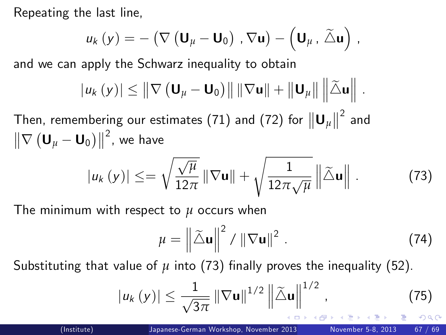Repeating the last line,

$$
u_{k}(y) = -(\nabla \left( \mathbf{U}_{\mu} - \mathbf{U}_{0} \right) , \nabla \mathbf{u}) - (\mathbf{U}_{\mu} , \widetilde{\triangle} \mathbf{u}) ,
$$

and we can apply the Schwarz inequality to obtain

$$
|u_{k}(y)| \leq \left\|\nabla \left(\mathbf{U}_{\mu}-\mathbf{U}_{0}\right)\right\| \left\|\nabla \mathbf{u}\right\| + \left\|\mathbf{U}_{\mu}\right\| \left\|\tilde{\triangle} \mathbf{u}\right\|.
$$

Then, remembering our estimates [\(71\)](#page-64-1) and [\(72\)](#page-64-2) for  ${\|\mathbf{U}_\mu\|}^2$  and  $\left\|\nabla\left(\mathbf{U}_{\mu}-\mathbf{U}_{0}\right)\right\|^{2}$ , we have

$$
|u_{k}(y)| \leq = \sqrt{\frac{\sqrt{\mu}}{12\pi}} ||\nabla \mathbf{u}|| + \sqrt{\frac{1}{12\pi\sqrt{\mu}}} ||\tilde{\triangle} \mathbf{u}||.
$$
 (73)

The minimum with respect to *µ* occurs when

<span id="page-66-2"></span><span id="page-66-1"></span><span id="page-66-0"></span>
$$
\mu = \left\| \widetilde{\Delta} \mathbf{u} \right\|^2 / \left\| \nabla \mathbf{u} \right\|^2. \tag{74}
$$

Substituting that value of  $\mu$  into [\(73\)](#page-66-1) finally proves the inequality [\(52\)](#page-56-3).

$$
|u_{k}(y)| \leq \frac{1}{\sqrt{3\pi}} ||\nabla \mathbf{u}||^{1/2} ||\tilde{\Delta} \mathbf{u}||^{1/2},
$$
 (75)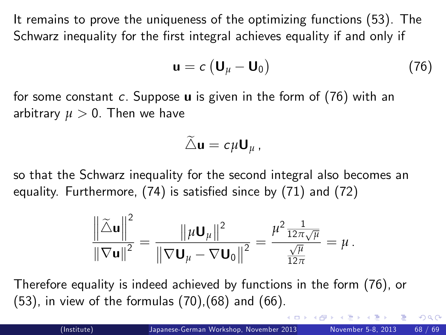It remains to prove the uniqueness of the optimizing functions [\(53\)](#page-56-4). The Schwarz inequality for the first integral achieves equality if and only if

<span id="page-67-0"></span>
$$
\mathbf{u} = c \left( \mathbf{U}_{\mu} - \mathbf{U}_0 \right) \tag{76}
$$

for some constant  $c$ . Suppose  $\boldsymbol{u}$  is given in the form of [\(76\)](#page-67-0) with an arbitrary  $\mu > 0$ . Then we have

$$
\widetilde{\triangle} \mathbf{u} = c \mu \mathbf{U}_{\mu} ,
$$

so that the Schwarz inequality for the second integral also becomes an equality. Furthermore,  $(74)$  is satisfied since by  $(71)$  and  $(72)$ 

$$
\frac{\left\|\tilde{\triangle}\mathbf{u}\right\|^2}{\left\|\nabla\mathbf{u}\right\|^2} = \frac{\left\|\mu\mathbf{U}_{\mu}\right\|^2}{\left\|\nabla\mathbf{U}_{\mu} - \nabla\mathbf{U}_0\right\|^2} = \frac{\mu^2 \frac{1}{12\pi\sqrt{\mu}}}{\frac{\sqrt{\mu}}{12\pi}} = \mu.
$$

Therefore equality is indeed achieved by functions in the form [\(76\)](#page-67-0), or [\(53\)](#page-56-4), in view of the formulas [\(70\)](#page-63-1),[\(68\)](#page-62-3) and [\(66\)](#page-62-4).